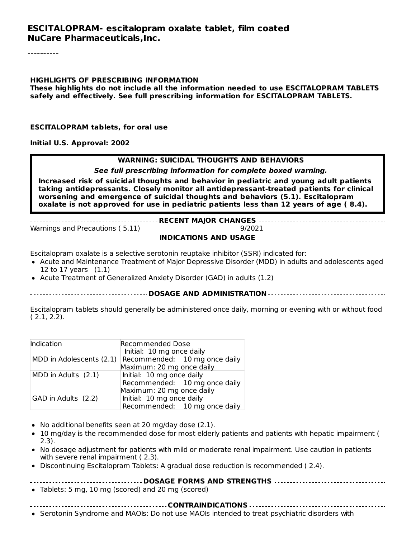#### **ESCITALOPRAM- escitalopram oxalate tablet, film coated NuCare Pharmaceuticals,Inc.**

#### **HIGHLIGHTS OF PRESCRIBING INFORMATION These highlights do not include all the information needed to use ESCITALOPRAM TABLETS safely and effectively. See full prescribing information for ESCITALOPRAM TABLETS.**

#### **ESCITALOPRAM tablets, for oral use**

**Initial U.S. Approval: 2002**

#### **WARNING: SUICIDAL THOUGHTS AND BEHAVIORS**

**See full prescribing information for complete boxed warning.**

**Increased risk of suicidal thoughts and behavior in pediatric and young adult patients taking antidepressants. Closely monitor all antidepressant-treated patients for clinical worsening and emergence of suicidal thoughts and behaviors (5.1). Escitalopram oxalate is not approved for use in pediatric patients less than 12 years of age ( 8.4).**

**RECENT MAJOR CHANGES** Warnings and Precautions (5.11) 9/2021 **INDICATIONS AND USAGE**

Escitalopram oxalate is a selective serotonin reuptake inhibitor (SSRI) indicated for:

- Acute and Maintenance Treatment of Major Depressive Disorder (MDD) in adults and adolescents aged 12 to 17 years (1.1)
- Acute Treatment of Generalized Anxiety Disorder (GAD) in adults (1.2)

#### **DOSAGE AND ADMINISTRATION**

Escitalopram tablets should generally be administered once daily, morning or evening with or without food ( 2.1, 2.2).

| Indication               | <b>Recommended Dose</b>       |  |  |
|--------------------------|-------------------------------|--|--|
|                          | Initial: 10 mg once daily     |  |  |
| MDD in Adolescents (2.1) | Recommended: 10 mg once daily |  |  |
|                          | Maximum: 20 mg once daily     |  |  |
| MDD in Adults (2.1)      | Initial: 10 mg once daily     |  |  |
|                          | Recommended: 10 mg once daily |  |  |
|                          | Maximum: 20 mg once daily     |  |  |
| GAD in Adults (2.2)      | Initial: 10 mg once daily     |  |  |
|                          | Recommended: 10 mg once daily |  |  |

- No additional benefits seen at 20 mg/day dose (2.1).
- 10 mg/day is the recommended dose for most elderly patients and patients with hepatic impairment ( 2.3).
- No dosage adjustment for patients with mild or moderate renal impairment. Use caution in patients with severe renal impairment (2.3).
- Discontinuing Escitalopram Tablets: A gradual dose reduction is recommended ( 2.4).

#### **DOSAGE FORMS AND STRENGTHS**

Tablets: 5 mg, 10 mg (scored) and 20 mg (scored)

**CONTRAINDICATIONS**

• Serotonin Syndrome and MAOIs: Do not use MAOIs intended to treat psychiatric disorders with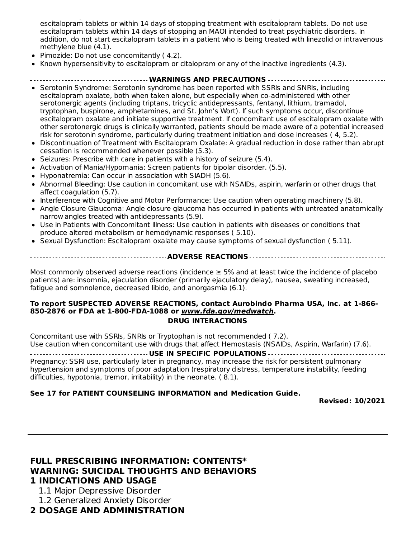Serotonin Syndrome and MAOIs: Do not use MAOIs intended to treat psychiatric disorders with escitalopram tablets or within 14 days of stopping treatment with escitalopram tablets. Do not use escitalopram tablets within 14 days of stopping an MAOI intended to treat psychiatric disorders. In addition, do not start escitalopram tablets in a patient who is being treated with linezolid or intravenous methylene blue (4.1).

- Pimozide: Do not use concomitantly ( 4.2).
- Known hypersensitivity to escitalopram or citalopram or any of the inactive ingredients (4.3).

#### **WARNINGS AND PRECAUTIONS**

- Serotonin Syndrome: Serotonin syndrome has been reported with SSRIs and SNRIs, including escitalopram oxalate, both when taken alone, but especially when co-administered with other serotonergic agents (including triptans, tricyclic antidepressants, fentanyl, lithium, tramadol, tryptophan, buspirone, amphetamines, and St. John's Wort). If such symptoms occur, discontinue escitalopram oxalate and initiate supportive treatment. If concomitant use of escitalopram oxalate with other serotonergic drugs is clinically warranted, patients should be made aware of a potential increased risk for serotonin syndrome, particularly during treatment initiation and dose increases ( 4, 5.2).
- Discontinuation of Treatment with Escitalopram Oxalate: A gradual reduction in dose rather than abrupt cessation is recommended whenever possible (5.3).
- $\bullet$  Seizures: Prescribe with care in patients with a history of seizure (5.4).
- Activation of Mania/Hypomania: Screen patients for bipolar disorder. (5.5).
- Hyponatremia: Can occur in association with SIADH (5.6).  $\bullet$
- Abnormal Bleeding: Use caution in concomitant use with NSAIDs, aspirin, warfarin or other drugs that affect coagulation (5.7).
- Interference with Cognitive and Motor Performance: Use caution when operating machinery (5.8).
- Angle Closure Glaucoma: Angle closure glaucoma has occurred in patients with untreated anatomically narrow angles treated with antidepressants (5.9).
- Use in Patients with Concomitant Illness: Use caution in patients with diseases or conditions that produce altered metabolism or hemodynamic responses ( 5.10).
- Sexual Dysfunction: Escitalopram oxalate may cause symptoms of sexual dysfunction ( 5.11).

**ADVERSE REACTIONS**

Most commonly observed adverse reactions (incidence ≥ 5% and at least twice the incidence of placebo patients) are: insomnia, ejaculation disorder (primarily ejaculatory delay), nausea, sweating increased, fatigue and somnolence, decreased libido, and anorgasmia (6.1).

**To report SUSPECTED ADVERSE REACTIONS, contact Aurobindo Pharma USA, Inc. at 1-866- 850-2876 or FDA at 1-800-FDA-1088 or www.fda.gov/medwatch.**

**DRUG INTERACTIONS**

Concomitant use with SSRIs, SNRIs or Tryptophan is not recommended ( 7.2). Use caution when concomitant use with drugs that affect Hemostasis (NSAIDs, Aspirin, Warfarin) (7.6).

#### **USE IN SPECIFIC POPULATIONS**

Pregnancy: SSRI use, particularly later in pregnancy, may increase the risk for persistent pulmonary hypertension and symptoms of poor adaptation (respiratory distress, temperature instability, feeding difficulties, hypotonia, tremor, irritability) in the neonate. ( 8.1).

#### **See 17 for PATIENT COUNSELING INFORMATION and Medication Guide.**

**Revised: 10/2021**

#### **FULL PRESCRIBING INFORMATION: CONTENTS\* WARNING: SUICIDAL THOUGHTS AND BEHAVIORS 1 INDICATIONS AND USAGE**

- 1.1 Major Depressive Disorder
- 1.2 Generalized Anxiety Disorder

#### **2 DOSAGE AND ADMINISTRATION**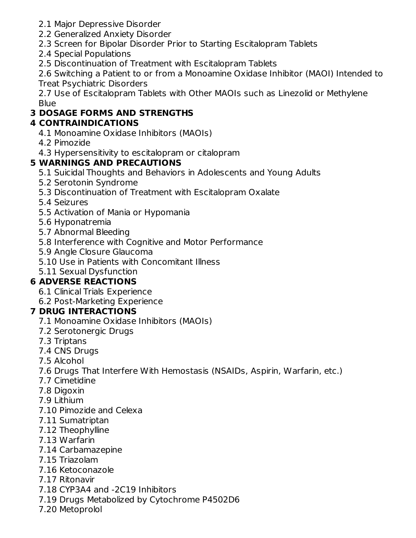- 2.1 Major Depressive Disorder
- 2.2 Generalized Anxiety Disorder
- 2.3 Screen for Bipolar Disorder Prior to Starting Escitalopram Tablets
- 2.4 Special Populations
- 2.5 Discontinuation of Treatment with Escitalopram Tablets

2.6 Switching a Patient to or from a Monoamine Oxidase Inhibitor (MAOI) Intended to Treat Psychiatric Disorders

2.7 Use of Escitalopram Tablets with Other MAOIs such as Linezolid or Methylene Blue

# **3 DOSAGE FORMS AND STRENGTHS**

# **4 CONTRAINDICATIONS**

- 4.1 Monoamine Oxidase Inhibitors (MAOIs)
- 4.2 Pimozide
- 4.3 Hypersensitivity to escitalopram or citalopram

# **5 WARNINGS AND PRECAUTIONS**

- 5.1 Suicidal Thoughts and Behaviors in Adolescents and Young Adults
- 5.2 Serotonin Syndrome
- 5.3 Discontinuation of Treatment with Escitalopram Oxalate
- 5.4 Seizures
- 5.5 Activation of Mania or Hypomania
- 5.6 Hyponatremia
- 5.7 Abnormal Bleeding
- 5.8 Interference with Cognitive and Motor Performance
- 5.9 Angle Closure Glaucoma
- 5.10 Use in Patients with Concomitant Illness
- 5.11 Sexual Dysfunction

# **6 ADVERSE REACTIONS**

- 6.1 Clinical Trials Experience
- 6.2 Post-Marketing Experience

# **7 DRUG INTERACTIONS**

- 7.1 Monoamine Oxidase Inhibitors (MAOIs)
- 7.2 Serotonergic Drugs
- 7.3 Triptans
- 7.4 CNS Drugs
- 7.5 Alcohol
- 7.6 Drugs That Interfere With Hemostasis (NSAIDs, Aspirin, Warfarin, etc.)
- 7.7 Cimetidine
- 7.8 Digoxin
- 7.9 Lithium
- 7.10 Pimozide and Celexa
- 7.11 Sumatriptan
- 7.12 Theophylline
- 7.13 Warfarin
- 7.14 Carbamazepine
- 7.15 Triazolam
- 7.16 Ketoconazole
- 7.17 Ritonavir
- 7.18 CYP3A4 and -2C19 Inhibitors
- 7.19 Drugs Metabolized by Cytochrome P4502D6
- 7.20 Metoprolol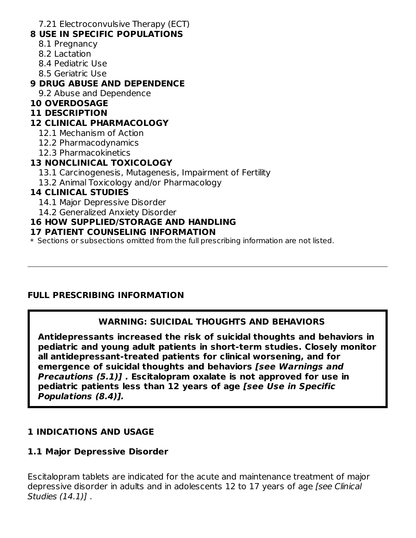7.21 Electroconvulsive Therapy (ECT)

#### **8 USE IN SPECIFIC POPULATIONS**

- 8.1 Pregnancy
- 8.2 Lactation
- 8.4 Pediatric Use
- 8.5 Geriatric Use

#### **9 DRUG ABUSE AND DEPENDENCE**

9.2 Abuse and Dependence

#### **10 OVERDOSAGE**

#### **11 DESCRIPTION**

#### **12 CLINICAL PHARMACOLOGY**

12.1 Mechanism of Action

- 12.2 Pharmacodynamics
- 12.3 Pharmacokinetics

## **13 NONCLINICAL TOXICOLOGY**

- 13.1 Carcinogenesis, Mutagenesis, Impairment of Fertility
- 13.2 Animal Toxicology and/or Pharmacology

#### **14 CLINICAL STUDIES**

- 14.1 Major Depressive Disorder
- 14.2 Generalized Anxiety Disorder

## **16 HOW SUPPLIED/STORAGE AND HANDLING**

#### **17 PATIENT COUNSELING INFORMATION**

\* Sections or subsections omitted from the full prescribing information are not listed.

## **FULL PRESCRIBING INFORMATION**

## **WARNING: SUICIDAL THOUGHTS AND BEHAVIORS**

**Antidepressants increased the risk of suicidal thoughts and behaviors in pediatric and young adult patients in short-term studies. Closely monitor all antidepressant-treated patients for clinical worsening, and for emergence of suicidal thoughts and behaviors [see Warnings and Precautions (5.1)] . Escitalopram oxalate is not approved for use in pediatric patients less than 12 years of age [see Use in Specific Populations (8.4)].**

## **1 INDICATIONS AND USAGE**

## **1.1 Major Depressive Disorder**

Escitalopram tablets are indicated for the acute and maintenance treatment of major depressive disorder in adults and in adolescents 12 to 17 years of age [see Clinical Studies (14.1)] .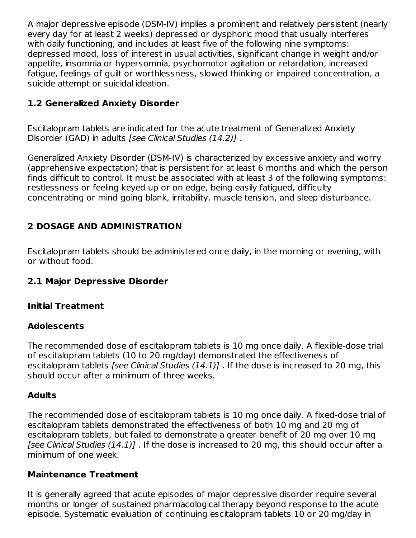A major depressive episode (DSM-IV) implies a prominent and relatively persistent (nearly every day for at least 2 weeks) depressed or dysphoric mood that usually interferes with daily functioning, and includes at least five of the following nine symptoms: depressed mood, loss of interest in usual activities, significant change in weight and/or appetite, insomnia or hypersomnia, psychomotor agitation or retardation, increased fatigue, feelings of guilt or worthlessness, slowed thinking or impaired concentration, a suicide attempt or suicidal ideation.

# **1.2 Generalized Anxiety Disorder**

Escitalopram tablets are indicated for the acute treatment of Generalized Anxiety Disorder (GAD) in adults [see Clinical Studies (14.2)].

Generalized Anxiety Disorder (DSM-IV) is characterized by excessive anxiety and worry (apprehensive expectation) that is persistent for at least 6 months and which the person finds difficult to control. It must be associated with at least 3 of the following symptoms: restlessness or feeling keyed up or on edge, being easily fatigued, difficulty concentrating or mind going blank, irritability, muscle tension, and sleep disturbance.

# **2 DOSAGE AND ADMINISTRATION**

Escitalopram tablets should be administered once daily, in the morning or evening, with or without food.

## **2.1 Major Depressive Disorder**

## **Initial Treatment**

#### **Adolescents**

The recommended dose of escitalopram tablets is 10 mg once daily. A flexible-dose trial of escitalopram tablets (10 to 20 mg/day) demonstrated the effectiveness of escitalopram tablets *[see Clinical Studies*  $(14.1)$ *]*. If the dose is increased to 20 mg, this should occur after a minimum of three weeks.

#### **Adults**

The recommended dose of escitalopram tablets is 10 mg once daily. A fixed-dose trial of escitalopram tablets demonstrated the effectiveness of both 10 mg and 20 mg of escitalopram tablets, but failed to demonstrate a greater benefit of 20 mg over 10 mg [see Clinical Studies  $(14.1)$ ]. If the dose is increased to 20 mg, this should occur after a minimum of one week.

#### **Maintenance Treatment**

It is generally agreed that acute episodes of major depressive disorder require several months or longer of sustained pharmacological therapy beyond response to the acute episode. Systematic evaluation of continuing escitalopram tablets 10 or 20 mg/day in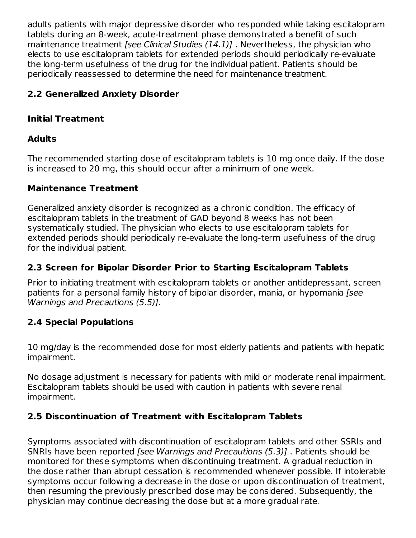adults patients with major depressive disorder who responded while taking escitalopram tablets during an 8-week, acute-treatment phase demonstrated a benefit of such maintenance treatment *[see Clinical Studies (14.1)]*. Nevertheless, the physician who elects to use escitalopram tablets for extended periods should periodically re-evaluate the long-term usefulness of the drug for the individual patient. Patients should be periodically reassessed to determine the need for maintenance treatment.

# **2.2 Generalized Anxiety Disorder**

# **Initial Treatment**

# **Adults**

The recommended starting dose of escitalopram tablets is 10 mg once daily. If the dose is increased to 20 mg, this should occur after a minimum of one week.

# **Maintenance Treatment**

Generalized anxiety disorder is recognized as a chronic condition. The efficacy of escitalopram tablets in the treatment of GAD beyond 8 weeks has not been systematically studied. The physician who elects to use escitalopram tablets for extended periods should periodically re-evaluate the long-term usefulness of the drug for the individual patient.

# **2.3 Screen for Bipolar Disorder Prior to Starting Escitalopram Tablets**

Prior to initiating treatment with escitalopram tablets or another antidepressant, screen patients for a personal family history of bipolar disorder, mania, or hypomania [see Warnings and Precautions (5.5)].

# **2.4 Special Populations**

10 mg/day is the recommended dose for most elderly patients and patients with hepatic impairment.

No dosage adjustment is necessary for patients with mild or moderate renal impairment. Escitalopram tablets should be used with caution in patients with severe renal impairment.

# **2.5 Discontinuation of Treatment with Escitalopram Tablets**

Symptoms associated with discontinuation of escitalopram tablets and other SSRIs and SNRIs have been reported [see Warnings and Precautions (5.3)] . Patients should be monitored for these symptoms when discontinuing treatment. A gradual reduction in the dose rather than abrupt cessation is recommended whenever possible. If intolerable symptoms occur following a decrease in the dose or upon discontinuation of treatment, then resuming the previously prescribed dose may be considered. Subsequently, the physician may continue decreasing the dose but at a more gradual rate.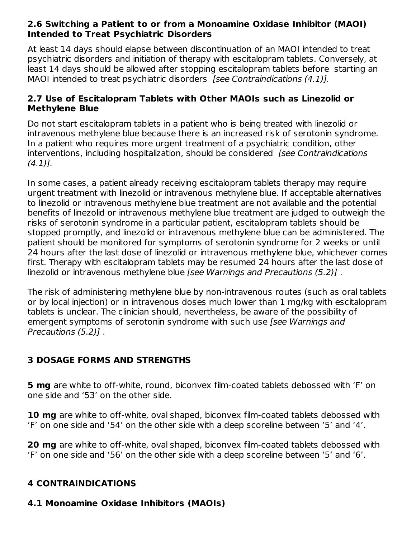#### **2.6 Switching a Patient to or from a Monoamine Oxidase Inhibitor (MAOI) Intended to Treat Psychiatric Disorders**

At least 14 days should elapse between discontinuation of an MAOI intended to treat psychiatric disorders and initiation of therapy with escitalopram tablets. Conversely, at least 14 days should be allowed after stopping escitalopram tablets before starting an MAOI intended to treat psychiatric disorders [see Contraindications (4.1)].

#### **2.7 Use of Escitalopram Tablets with Other MAOIs such as Linezolid or Methylene Blue**

Do not start escitalopram tablets in a patient who is being treated with linezolid or intravenous methylene blue because there is an increased risk of serotonin syndrome. In a patient who requires more urgent treatment of a psychiatric condition, other interventions, including hospitalization, should be considered [see Contraindications]  $(4.1)$ ].

In some cases, a patient already receiving escitalopram tablets therapy may require urgent treatment with linezolid or intravenous methylene blue. If acceptable alternatives to linezolid or intravenous methylene blue treatment are not available and the potential benefits of linezolid or intravenous methylene blue treatment are judged to outweigh the risks of serotonin syndrome in a particular patient, escitalopram tablets should be stopped promptly, and linezolid or intravenous methylene blue can be administered. The patient should be monitored for symptoms of serotonin syndrome for 2 weeks or until 24 hours after the last dose of linezolid or intravenous methylene blue, whichever comes first. Therapy with escitalopram tablets may be resumed 24 hours after the last dose of linezolid or intravenous methylene blue [see Warnings and Precautions (5.2)] .

The risk of administering methylene blue by non-intravenous routes (such as oral tablets or by local injection) or in intravenous doses much lower than 1 mg/kg with escitalopram tablets is unclear. The clinician should, nevertheless, be aware of the possibility of emergent symptoms of serotonin syndrome with such use *[see Warnings and* Precautions (5.2)] .

# **3 DOSAGE FORMS AND STRENGTHS**

**5 mg** are white to off-white, round, biconvex film-coated tablets debossed with 'F' on one side and '53' on the other side.

**10 mg** are white to off-white, oval shaped, biconvex film-coated tablets debossed with 'F' on one side and '54' on the other side with a deep scoreline between '5' and '4'.

**20 mg** are white to off-white, oval shaped, biconvex film-coated tablets debossed with 'F' on one side and '56' on the other side with a deep scoreline between '5' and '6'.

## **4 CONTRAINDICATIONS**

# **4.1 Monoamine Oxidase Inhibitors (MAOIs)**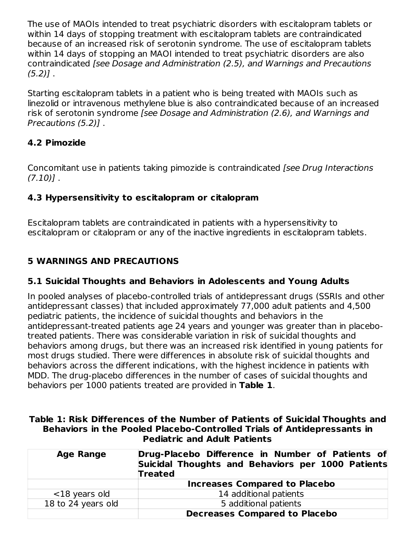The use of MAOIs intended to treat psychiatric disorders with escitalopram tablets or within 14 days of stopping treatment with escitalopram tablets are contraindicated because of an increased risk of serotonin syndrome. The use of escitalopram tablets within 14 days of stopping an MAOI intended to treat psychiatric disorders are also contraindicated [see Dosage and Administration (2.5), and Warnings and Precautions  $(5.2)$ ].

Starting escitalopram tablets in a patient who is being treated with MAOIs such as linezolid or intravenous methylene blue is also contraindicated because of an increased risk of serotonin syndrome [see Dosage and Administration (2.6), and Warnings and Precautions (5.2)] .

# **4.2 Pimozide**

Concomitant use in patients taking pimozide is contraindicated [see Drug Interactions  $(7.10)$ .

# **4.3 Hypersensitivity to escitalopram or citalopram**

Escitalopram tablets are contraindicated in patients with a hypersensitivity to escitalopram or citalopram or any of the inactive ingredients in escitalopram tablets.

## **5 WARNINGS AND PRECAUTIONS**

## **5.1 Suicidal Thoughts and Behaviors in Adolescents and Young Adults**

In pooled analyses of placebo-controlled trials of antidepressant drugs (SSRIs and other antidepressant classes) that included approximately 77,000 adult patients and 4,500 pediatric patients, the incidence of suicidal thoughts and behaviors in the antidepressant-treated patients age 24 years and younger was greater than in placebotreated patients. There was considerable variation in risk of suicidal thoughts and behaviors among drugs, but there was an increased risk identified in young patients for most drugs studied. There were differences in absolute risk of suicidal thoughts and behaviors across the different indications, with the highest incidence in patients with MDD. The drug-placebo differences in the number of cases of suicidal thoughts and behaviors per 1000 patients treated are provided in **Table 1**.

| Table 1: Risk Differences of the Number of Patients of Suicidal Thoughts and |  |                                     |  |  |
|------------------------------------------------------------------------------|--|-------------------------------------|--|--|
| Behaviors in the Pooled Placebo-Controlled Trials of Antidepressants in      |  |                                     |  |  |
|                                                                              |  | <b>Pediatric and Adult Patients</b> |  |  |

| <b>Age Range</b>   | Drug-Placebo Difference in Number of Patients of<br>Suicidal Thoughts and Behaviors per 1000 Patients<br><b>Treated</b> |  |
|--------------------|-------------------------------------------------------------------------------------------------------------------------|--|
|                    | <b>Increases Compared to Placebo</b>                                                                                    |  |
| $<$ 18 years old   | 14 additional patients                                                                                                  |  |
| 18 to 24 years old | 5 additional patients                                                                                                   |  |
|                    | <b>Decreases Compared to Placebo</b>                                                                                    |  |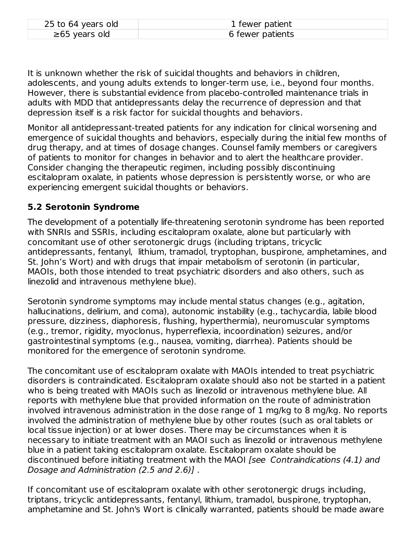| 25 to 64 years old  | 1 fewer patient  |
|---------------------|------------------|
| $\geq 65$ years old | 6 fewer patients |

It is unknown whether the risk of suicidal thoughts and behaviors in children, adolescents, and young adults extends to longer-term use, i.e., beyond four months. However, there is substantial evidence from placebo-controlled maintenance trials in adults with MDD that antidepressants delay the recurrence of depression and that depression itself is a risk factor for suicidal thoughts and behaviors.

Monitor all antidepressant-treated patients for any indication for clinical worsening and emergence of suicidal thoughts and behaviors, especially during the initial few months of drug therapy, and at times of dosage changes. Counsel family members or caregivers of patients to monitor for changes in behavior and to alert the healthcare provider. Consider changing the therapeutic regimen, including possibly discontinuing escitalopram oxalate, in patients whose depression is persistently worse, or who are experiencing emergent suicidal thoughts or behaviors.

#### **5.2 Serotonin Syndrome**

The development of a potentially life-threatening serotonin syndrome has been reported with SNRIs and SSRIs, including escitalopram oxalate, alone but particularly with concomitant use of other serotonergic drugs (including triptans, tricyclic antidepressants, fentanyl, lithium, tramadol, tryptophan, buspirone, amphetamines, and St. John's Wort) and with drugs that impair metabolism of serotonin (in particular, MAOIs, both those intended to treat psychiatric disorders and also others, such as linezolid and intravenous methylene blue).

Serotonin syndrome symptoms may include mental status changes (e.g., agitation, hallucinations, delirium, and coma), autonomic instability (e.g., tachycardia, labile blood pressure, dizziness, diaphoresis, flushing, hyperthermia), neuromuscular symptoms (e.g., tremor, rigidity, myoclonus, hyperreflexia, incoordination) seizures, and/or gastrointestinal symptoms (e.g., nausea, vomiting, diarrhea). Patients should be monitored for the emergence of serotonin syndrome.

The concomitant use of escitalopram oxalate with MAOIs intended to treat psychiatric disorders is contraindicated. Escitalopram oxalate should also not be started in a patient who is being treated with MAOIs such as linezolid or intravenous methylene blue. All reports with methylene blue that provided information on the route of administration involved intravenous administration in the dose range of 1 mg/kg to 8 mg/kg. No reports involved the administration of methylene blue by other routes (such as oral tablets or local tissue injection) or at lower doses. There may be circumstances when it is necessary to initiate treatment with an MAOI such as linezolid or intravenous methylene blue in a patient taking escitalopram oxalate. Escitalopram oxalate should be discontinued before initiating treatment with the MAOI [see Contraindications (4.1) and Dosage and Administration (2.5 and 2.6)] .

If concomitant use of escitalopram oxalate with other serotonergic drugs including, triptans, tricyclic antidepressants, fentanyl, lithium, tramadol, buspirone, tryptophan, amphetamine and St. John's Wort is clinically warranted, patients should be made aware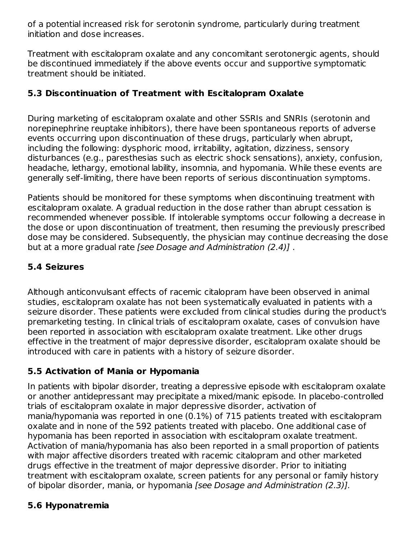of a potential increased risk for serotonin syndrome, particularly during treatment initiation and dose increases.

Treatment with escitalopram oxalate and any concomitant serotonergic agents, should be discontinued immediately if the above events occur and supportive symptomatic treatment should be initiated.

## **5.3 Discontinuation of Treatment with Escitalopram Oxalate**

During marketing of escitalopram oxalate and other SSRIs and SNRIs (serotonin and norepinephrine reuptake inhibitors), there have been spontaneous reports of adverse events occurring upon discontinuation of these drugs, particularly when abrupt, including the following: dysphoric mood, irritability, agitation, dizziness, sensory disturbances (e.g., paresthesias such as electric shock sensations), anxiety, confusion, headache, lethargy, emotional lability, insomnia, and hypomania. While these events are generally self-limiting, there have been reports of serious discontinuation symptoms.

Patients should be monitored for these symptoms when discontinuing treatment with escitalopram oxalate. A gradual reduction in the dose rather than abrupt cessation is recommended whenever possible. If intolerable symptoms occur following a decrease in the dose or upon discontinuation of treatment, then resuming the previously prescribed dose may be considered. Subsequently, the physician may continue decreasing the dose but at a more gradual rate [see Dosage and Administration (2.4)] .

# **5.4 Seizures**

Although anticonvulsant effects of racemic citalopram have been observed in animal studies, escitalopram oxalate has not been systematically evaluated in patients with a seizure disorder. These patients were excluded from clinical studies during the product's premarketing testing. In clinical trials of escitalopram oxalate, cases of convulsion have been reported in association with escitalopram oxalate treatment. Like other drugs effective in the treatment of major depressive disorder, escitalopram oxalate should be introduced with care in patients with a history of seizure disorder.

# **5.5 Activation of Mania or Hypomania**

In patients with bipolar disorder, treating a depressive episode with escitalopram oxalate or another antidepressant may precipitate a mixed/manic episode. In placebo-controlled trials of escitalopram oxalate in major depressive disorder, activation of mania/hypomania was reported in one (0.1%) of 715 patients treated with escitalopram oxalate and in none of the 592 patients treated with placebo. One additional case of hypomania has been reported in association with escitalopram oxalate treatment. Activation of mania/hypomania has also been reported in a small proportion of patients with major affective disorders treated with racemic citalopram and other marketed drugs effective in the treatment of major depressive disorder. Prior to initiating treatment with escitalopram oxalate, screen patients for any personal or family history of bipolar disorder, mania, or hypomania [see Dosage and Administration (2.3)].

# **5.6 Hyponatremia**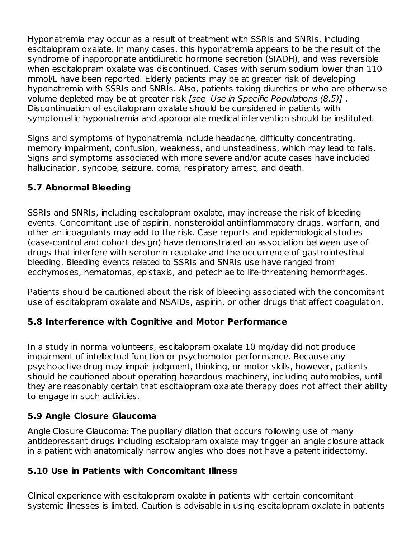Hyponatremia may occur as a result of treatment with SSRIs and SNRIs, including escitalopram oxalate. In many cases, this hyponatremia appears to be the result of the syndrome of inappropriate antidiuretic hormone secretion (SIADH), and was reversible when escitalopram oxalate was discontinued. Cases with serum sodium lower than 110 mmol/L have been reported. Elderly patients may be at greater risk of developing hyponatremia with SSRIs and SNRIs. Also, patients taking diuretics or who are otherwise volume depleted may be at greater risk [see Use in Specific Populations (8.5)] . Discontinuation of escitalopram oxalate should be considered in patients with symptomatic hyponatremia and appropriate medical intervention should be instituted.

Signs and symptoms of hyponatremia include headache, difficulty concentrating, memory impairment, confusion, weakness, and unsteadiness, which may lead to falls. Signs and symptoms associated with more severe and/or acute cases have included hallucination, syncope, seizure, coma, respiratory arrest, and death.

# **5.7 Abnormal Bleeding**

SSRIs and SNRIs, including escitalopram oxalate, may increase the risk of bleeding events. Concomitant use of aspirin, nonsteroidal antiinflammatory drugs, warfarin, and other anticoagulants may add to the risk. Case reports and epidemiological studies (case-control and cohort design) have demonstrated an association between use of drugs that interfere with serotonin reuptake and the occurrence of gastrointestinal bleeding. Bleeding events related to SSRIs and SNRIs use have ranged from ecchymoses, hematomas, epistaxis, and petechiae to life-threatening hemorrhages.

Patients should be cautioned about the risk of bleeding associated with the concomitant use of escitalopram oxalate and NSAIDs, aspirin, or other drugs that affect coagulation.

#### **5.8 Interference with Cognitive and Motor Performance**

In a study in normal volunteers, escitalopram oxalate 10 mg/day did not produce impairment of intellectual function or psychomotor performance. Because any psychoactive drug may impair judgment, thinking, or motor skills, however, patients should be cautioned about operating hazardous machinery, including automobiles, until they are reasonably certain that escitalopram oxalate therapy does not affect their ability to engage in such activities.

## **5.9 Angle Closure Glaucoma**

Angle Closure Glaucoma: The pupillary dilation that occurs following use of many antidepressant drugs including escitalopram oxalate may trigger an angle closure attack in a patient with anatomically narrow angles who does not have a patent iridectomy.

## **5.10 Use in Patients with Concomitant Illness**

Clinical experience with escitalopram oxalate in patients with certain concomitant systemic illnesses is limited. Caution is advisable in using escitalopram oxalate in patients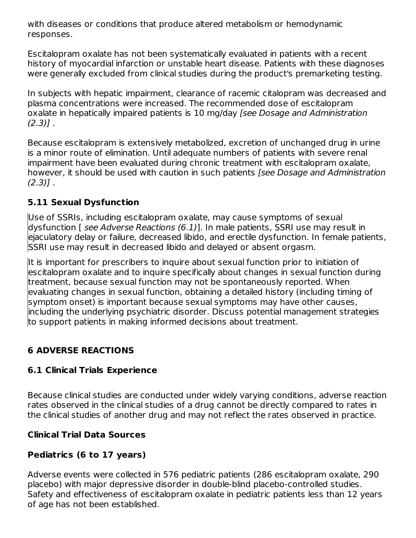with diseases or conditions that produce altered metabolism or hemodynamic responses.

Escitalopram oxalate has not been systematically evaluated in patients with a recent history of myocardial infarction or unstable heart disease. Patients with these diagnoses were generally excluded from clinical studies during the product's premarketing testing.

In subjects with hepatic impairment, clearance of racemic citalopram was decreased and plasma concentrations were increased. The recommended dose of escitalopram oxalate in hepatically impaired patients is 10 mg/day [see Dosage and Administration  $(2.3)$ ].

Because escitalopram is extensively metabolized, excretion of unchanged drug in urine is a minor route of elimination. Until adequate numbers of patients with severe renal impairment have been evaluated during chronic treatment with escitalopram oxalate, however, it should be used with caution in such patients [see Dosage and Administration  $(2.3)$ ].

# **5.11 Sexual Dysfunction**

Use of SSRIs, including escitalopram oxalate, may cause symptoms of sexual dysfunction [ see Adverse Reactions (6.1)]. In male patients, SSRI use may result in ejaculatory delay or failure, decreased libido, and erectile dysfunction. In female patients, SSRI use may result in decreased libido and delayed or absent orgasm.

It is important for prescribers to inquire about sexual function prior to initiation of escitalopram oxalate and to inquire specifically about changes in sexual function during treatment, because sexual function may not be spontaneously reported. When evaluating changes in sexual function, obtaining a detailed history (including timing of symptom onset) is important because sexual symptoms may have other causes, including the underlying psychiatric disorder. Discuss potential management strategies to support patients in making informed decisions about treatment.

# **6 ADVERSE REACTIONS**

## **6.1 Clinical Trials Experience**

Because clinical studies are conducted under widely varying conditions, adverse reaction rates observed in the clinical studies of a drug cannot be directly compared to rates in the clinical studies of another drug and may not reflect the rates observed in practice.

## **Clinical Trial Data Sources**

#### **Pediatrics (6 to 17 years)**

Adverse events were collected in 576 pediatric patients (286 escitalopram oxalate, 290 placebo) with major depressive disorder in double-blind placebo-controlled studies. Safety and effectiveness of escitalopram oxalate in pediatric patients less than 12 years of age has not been established.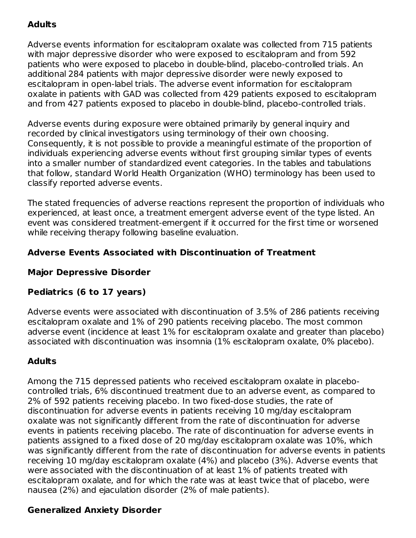## **Adults**

Adverse events information for escitalopram oxalate was collected from 715 patients with major depressive disorder who were exposed to escitalopram and from 592 patients who were exposed to placebo in double-blind, placebo-controlled trials. An additional 284 patients with major depressive disorder were newly exposed to escitalopram in open-label trials. The adverse event information for escitalopram oxalate in patients with GAD was collected from 429 patients exposed to escitalopram and from 427 patients exposed to placebo in double-blind, placebo-controlled trials.

Adverse events during exposure were obtained primarily by general inquiry and recorded by clinical investigators using terminology of their own choosing. Consequently, it is not possible to provide a meaningful estimate of the proportion of individuals experiencing adverse events without first grouping similar types of events into a smaller number of standardized event categories. In the tables and tabulations that follow, standard World Health Organization (WHO) terminology has been used to classify reported adverse events.

The stated frequencies of adverse reactions represent the proportion of individuals who experienced, at least once, a treatment emergent adverse event of the type listed. An event was considered treatment-emergent if it occurred for the first time or worsened while receiving therapy following baseline evaluation.

## **Adverse Events Associated with Discontinuation of Treatment**

## **Major Depressive Disorder**

## **Pediatrics (6 to 17 years)**

Adverse events were associated with discontinuation of 3.5% of 286 patients receiving escitalopram oxalate and 1% of 290 patients receiving placebo. The most common adverse event (incidence at least 1% for escitalopram oxalate and greater than placebo) associated with discontinuation was insomnia (1% escitalopram oxalate, 0% placebo).

#### **Adults**

Among the 715 depressed patients who received escitalopram oxalate in placebocontrolled trials, 6% discontinued treatment due to an adverse event, as compared to 2% of 592 patients receiving placebo. In two fixed-dose studies, the rate of discontinuation for adverse events in patients receiving 10 mg/day escitalopram oxalate was not significantly different from the rate of discontinuation for adverse events in patients receiving placebo. The rate of discontinuation for adverse events in patients assigned to a fixed dose of 20 mg/day escitalopram oxalate was 10%, which was significantly different from the rate of discontinuation for adverse events in patients receiving 10 mg/day escitalopram oxalate (4%) and placebo (3%). Adverse events that were associated with the discontinuation of at least 1% of patients treated with escitalopram oxalate, and for which the rate was at least twice that of placebo, were nausea (2%) and ejaculation disorder (2% of male patients).

#### **Generalized Anxiety Disorder**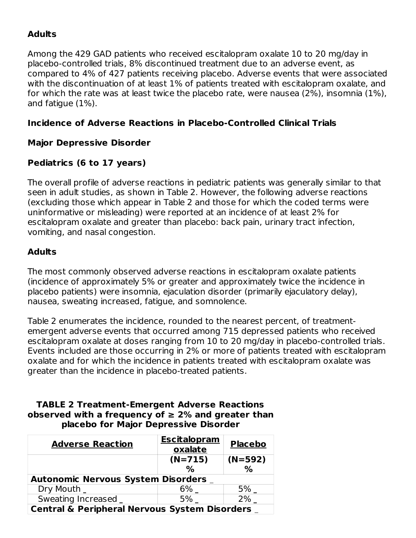# **Adults**

Among the 429 GAD patients who received escitalopram oxalate 10 to 20 mg/day in placebo-controlled trials, 8% discontinued treatment due to an adverse event, as compared to 4% of 427 patients receiving placebo. Adverse events that were associated with the discontinuation of at least 1% of patients treated with escitalopram oxalate, and for which the rate was at least twice the placebo rate, were nausea (2%), insomnia (1%), and fatigue (1%).

#### **Incidence of Adverse Reactions in Placebo-Controlled Clinical Trials**

#### **Major Depressive Disorder**

#### **Pediatrics (6 to 17 years)**

The overall profile of adverse reactions in pediatric patients was generally similar to that seen in adult studies, as shown in Table 2. However, the following adverse reactions (excluding those which appear in Table 2 and those for which the coded terms were uninformative or misleading) were reported at an incidence of at least 2% for escitalopram oxalate and greater than placebo: back pain, urinary tract infection, vomiting, and nasal congestion.

#### **Adults**

The most commonly observed adverse reactions in escitalopram oxalate patients (incidence of approximately 5% or greater and approximately twice the incidence in placebo patients) were insomnia, ejaculation disorder (primarily ejaculatory delay), nausea, sweating increased, fatigue, and somnolence.

Table 2 enumerates the incidence, rounded to the nearest percent, of treatmentemergent adverse events that occurred among 715 depressed patients who received escitalopram oxalate at doses ranging from 10 to 20 mg/day in placebo-controlled trials. Events included are those occurring in 2% or more of patients treated with escitalopram oxalate and for which the incidence in patients treated with escitalopram oxalate was greater than the incidence in placebo-treated patients.

#### **TABLE 2 Treatment-Emergent Adverse Reactions observed with a frequency of ≥ 2% and greater than placebo for Major Depressive Disorder**

| <b>Adverse Reaction</b>                                  | <b>Escitalopram</b><br>oxalate | <b>Placebo</b> |  |  |
|----------------------------------------------------------|--------------------------------|----------------|--|--|
|                                                          | $(N=715)$                      | $(N=592)$      |  |  |
|                                                          | $\%$                           | $\%$           |  |  |
| <b>Autonomic Nervous System Disorders _</b>              |                                |                |  |  |
| Dry Mouth _                                              | 6%                             | 5%             |  |  |
| Sweating Increased _                                     | 5%                             | $2\%$          |  |  |
| <b>Central &amp; Peripheral Nervous System Disorders</b> |                                |                |  |  |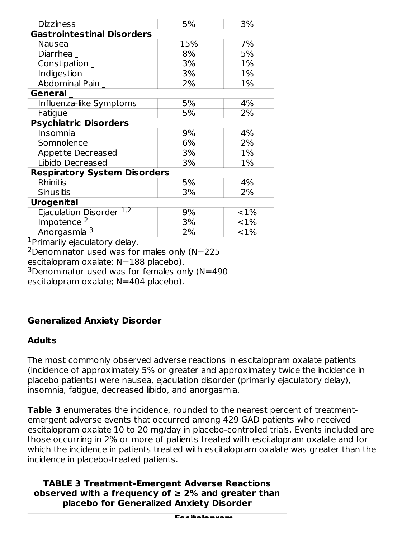| Dizziness                           | 5%  | 3%      |  |  |
|-------------------------------------|-----|---------|--|--|
| <b>Gastrointestinal Disorders</b>   |     |         |  |  |
| Nausea                              | 15% | 7%      |  |  |
| Diarrhea _                          | 8%  | 5%      |  |  |
| $\overline{\text{Construction}}$ _  | 3%  | 1%      |  |  |
| Indigestion _                       | 3%  | 1%      |  |  |
| Abdominal Pain _                    | 2%  | 1%      |  |  |
| General_                            |     |         |  |  |
| Influenza-like Symptoms _           | 5%  | 4%      |  |  |
| Fatigue _                           | 5%  | 2%      |  |  |
| <b>Psychiatric Disorders</b>        |     |         |  |  |
| Insomnia                            | 9%  | 4%      |  |  |
| Somnolence                          | 6%  | 2%      |  |  |
| <b>Appetite Decreased</b>           | 3%  | 1%      |  |  |
| Libido Decreased                    | 3%  | 1%      |  |  |
| <b>Respiratory System Disorders</b> |     |         |  |  |
| <b>Rhinitis</b>                     | 5%  | 4%      |  |  |
| <b>Sinusitis</b>                    | 3%  | 2%      |  |  |
| <b>Urogenital</b>                   |     |         |  |  |
| Ejaculation Disorder 1,2            | 9%  | $< 1\%$ |  |  |
| Impotence <sup>2</sup>              | 3%  | $< 1\%$ |  |  |
| Anorgasmia 3                        | 2%  | <1%     |  |  |

<sup>1</sup>Primarily ejaculatory delay.

 $2$ Denominator used was for males only (N=225

escitalopram oxalate; N=188 placebo).

 $3$ Denominator used was for females only (N=490

escitalopram oxalate; N=404 placebo).

## **Generalized Anxiety Disorder**

#### **Adults**

The most commonly observed adverse reactions in escitalopram oxalate patients (incidence of approximately 5% or greater and approximately twice the incidence in placebo patients) were nausea, ejaculation disorder (primarily ejaculatory delay), insomnia, fatigue, decreased libido, and anorgasmia.

**Table 3** enumerates the incidence, rounded to the nearest percent of treatmentemergent adverse events that occurred among 429 GAD patients who received escitalopram oxalate 10 to 20 mg/day in placebo-controlled trials. Events included are those occurring in 2% or more of patients treated with escitalopram oxalate and for which the incidence in patients treated with escitalopram oxalate was greater than the incidence in placebo-treated patients.

**TABLE 3 Treatment-Emergent Adverse Reactions observed with a frequency of ≥ 2% and greater than placebo for Generalized Anxiety Disorder**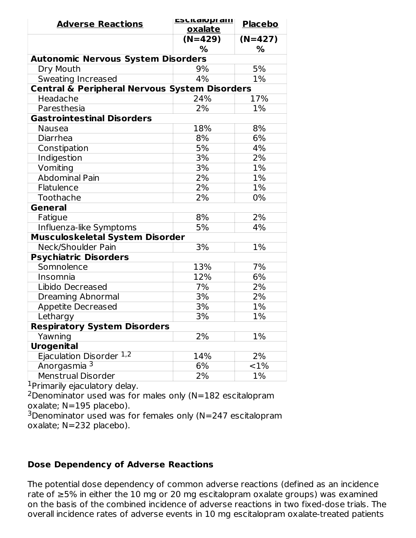| <b>Adverse Reactions</b>                                 | <u>ESCILAIU pram</u> | <b>Placebo</b> |  |  |
|----------------------------------------------------------|----------------------|----------------|--|--|
|                                                          | oxalate              |                |  |  |
|                                                          | $(N=429)$            | $(N=427)$      |  |  |
|                                                          | %                    | ℅              |  |  |
| <b>Autonomic Nervous System Disorders</b>                |                      |                |  |  |
| Dry Mouth                                                | 9%                   | 5%             |  |  |
| Sweating Increased                                       | 4%                   | 1%             |  |  |
| <b>Central &amp; Peripheral Nervous System Disorders</b> |                      |                |  |  |
| Headache                                                 | 24%                  | 17%            |  |  |
| Paresthesia                                              | 2%                   | 1%             |  |  |
| <b>Gastrointestinal Disorders</b>                        |                      |                |  |  |
| <b>Nausea</b>                                            | 18%                  | 8%             |  |  |
| Diarrhea                                                 | 8%                   | 6%             |  |  |
| Constipation                                             | 5%                   | 4%             |  |  |
| Indigestion                                              | 3%                   | 2%             |  |  |
| Vomiting                                                 | 3%                   | 1%             |  |  |
| <b>Abdominal Pain</b>                                    | 2%                   | 1%             |  |  |
| Flatulence                                               | 2%                   | 1%             |  |  |
| Toothache                                                | 2%                   | 0%             |  |  |
| <b>General</b>                                           |                      |                |  |  |
| Fatigue                                                  | 8%                   | 2%             |  |  |
| Influenza-like Symptoms                                  | 5%                   | 4%             |  |  |
| <b>Musculoskeletal System Disorder</b>                   |                      |                |  |  |
| Neck/Shoulder Pain                                       | 3%                   | 1%             |  |  |
| <b>Psychiatric Disorders</b>                             |                      |                |  |  |
| Somnolence                                               | 13%                  | 7%             |  |  |
| Insomnia                                                 | 12%                  | 6%             |  |  |
| Libido Decreased                                         | 7%                   | 2%             |  |  |
| <b>Dreaming Abnormal</b>                                 | $\overline{3\%}$     | 2%             |  |  |
| Appetite Decreased                                       | 3%                   | 1%             |  |  |
| Lethargy                                                 | 3%                   | 1%             |  |  |
| <b>Respiratory System Disorders</b>                      |                      |                |  |  |
| Yawning                                                  | 2%                   | 1%             |  |  |
| <b>Urogenital</b>                                        |                      |                |  |  |
| Ejaculation Disorder 1,2                                 | 14%                  | 2%             |  |  |
| Anorgasmia <sup>3</sup>                                  | 6%                   | ${<}1\%$       |  |  |
| Menstrual Disorder                                       | 2%                   | 1%             |  |  |

<sup>1</sup>Primarily ejaculatory delay.

 $2$ Denominator used was for males only (N=182 escitalopram oxalate; N=195 placebo).

 $3$ Denominator used was for females only (N=247 escitalopram oxalate; N=232 placebo).

#### **Dose Dependency of Adverse Reactions**

The potential dose dependency of common adverse reactions (defined as an incidence rate of ≥5% in either the 10 mg or 20 mg escitalopram oxalate groups) was examined on the basis of the combined incidence of adverse reactions in two fixed-dose trials. The overall incidence rates of adverse events in 10 mg escitalopram oxalate-treated patients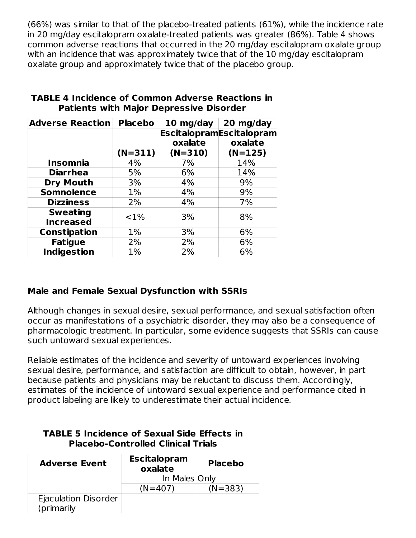(66%) was similar to that of the placebo-treated patients (61%), while the incidence rate in 20 mg/day escitalopram oxalate-treated patients was greater (86%). Table 4 shows common adverse reactions that occurred in the 20 mg/day escitalopram oxalate group with an incidence that was approximately twice that of the 10 mg/day escitalopram oxalate group and approximately twice that of the placebo group.

| <b>Adverse Reaction</b> | <b>Placebo</b> | 10 mg/day | 20 mg/day                       |
|-------------------------|----------------|-----------|---------------------------------|
|                         |                |           | <b>EscitalopramEscitalopram</b> |
|                         |                | oxalate   | oxalate                         |
|                         | $(N=311)$      | $(N=310)$ | $(N=125)$                       |
| <b>Insomnia</b>         | 4%             | 7%        | 14%                             |
| <b>Diarrhea</b>         | 5%             | 6%        | 14%                             |
| <b>Dry Mouth</b>        | 3%             | 4%        | 9%                              |
| <b>Somnolence</b>       | $1\%$          | 4%        | 9%                              |
| <b>Dizziness</b>        | 2%             | 4%        | 7%                              |
| <b>Sweating</b>         | ${<}1\%$       | 3%        | 8%                              |
| <b>Increased</b>        |                |           |                                 |
| <b>Constipation</b>     | 1%             | 3%        | 6%                              |
| <b>Fatigue</b>          | 2%             | 2%        | 6%                              |
| <b>Indigestion</b>      | 1%             | 2%        | 6%                              |

#### **TABLE 4 Incidence of Common Adverse Reactions in Patients with Major Depressive Disorder**

## **Male and Female Sexual Dysfunction with SSRIs**

Although changes in sexual desire, sexual performance, and sexual satisfaction often occur as manifestations of a psychiatric disorder, they may also be a consequence of pharmacologic treatment. In particular, some evidence suggests that SSRIs can cause such untoward sexual experiences.

Reliable estimates of the incidence and severity of untoward experiences involving sexual desire, performance, and satisfaction are difficult to obtain, however, in part because patients and physicians may be reluctant to discuss them. Accordingly, estimates of the incidence of untoward sexual experience and performance cited in product labeling are likely to underestimate their actual incidence.

#### **TABLE 5 Incidence of Sexual Side Effects in Placebo-Controlled Clinical Trials**

| <b>Adverse Event</b>               | <b>Escitalopram</b><br>oxalate | <b>Placebo</b> |
|------------------------------------|--------------------------------|----------------|
|                                    | In Males Only                  |                |
|                                    | $(N=407)$                      | $(N=383)$      |
| Ejaculation Disorder<br>(primarily |                                |                |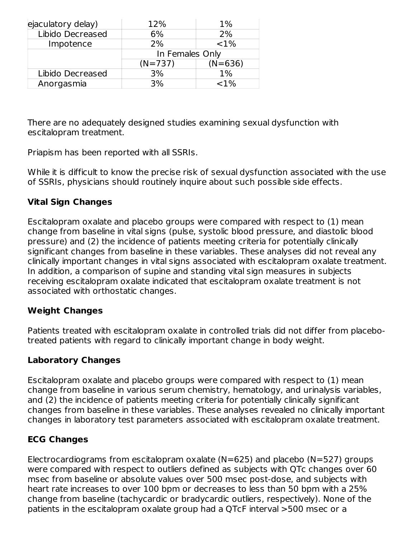| ejaculatory delay) | 12%             | 1%        |
|--------------------|-----------------|-----------|
| Libido Decreased   | 6%              | 2%        |
| Impotence          | 2%              | ${<}1\%$  |
|                    | In Females Only |           |
|                    | $(N=737)$       | $(N=636)$ |
| Libido Decreased   | 3%              | $1\%$     |
| Anorgasmia         | 3%              | ${<}1\%$  |

There are no adequately designed studies examining sexual dysfunction with escitalopram treatment.

Priapism has been reported with all SSRIs.

While it is difficult to know the precise risk of sexual dysfunction associated with the use of SSRIs, physicians should routinely inquire about such possible side effects.

# **Vital Sign Changes**

Escitalopram oxalate and placebo groups were compared with respect to (1) mean change from baseline in vital signs (pulse, systolic blood pressure, and diastolic blood pressure) and (2) the incidence of patients meeting criteria for potentially clinically significant changes from baseline in these variables. These analyses did not reveal any clinically important changes in vital signs associated with escitalopram oxalate treatment. In addition, a comparison of supine and standing vital sign measures in subjects receiving escitalopram oxalate indicated that escitalopram oxalate treatment is not associated with orthostatic changes.

## **Weight Changes**

Patients treated with escitalopram oxalate in controlled trials did not differ from placebotreated patients with regard to clinically important change in body weight.

## **Laboratory Changes**

Escitalopram oxalate and placebo groups were compared with respect to (1) mean change from baseline in various serum chemistry, hematology, and urinalysis variables, and (2) the incidence of patients meeting criteria for potentially clinically significant changes from baseline in these variables. These analyses revealed no clinically important changes in laboratory test parameters associated with escitalopram oxalate treatment.

## **ECG Changes**

Electrocardiograms from escitalopram oxalate ( $N=625$ ) and placebo ( $N=527$ ) groups were compared with respect to outliers defined as subjects with QTc changes over 60 msec from baseline or absolute values over 500 msec post-dose, and subjects with heart rate increases to over 100 bpm or decreases to less than 50 bpm with a 25% change from baseline (tachycardic or bradycardic outliers, respectively). None of the patients in the escitalopram oxalate group had a QTcF interval >500 msec or a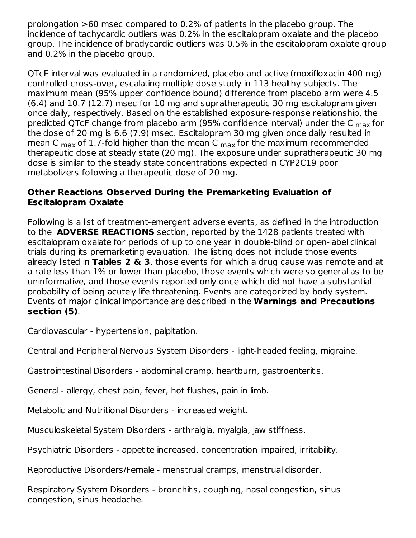prolongation >60 msec compared to 0.2% of patients in the placebo group. The incidence of tachycardic outliers was 0.2% in the escitalopram oxalate and the placebo group. The incidence of bradycardic outliers was 0.5% in the escitalopram oxalate group and 0.2% in the placebo group.

QTcF interval was evaluated in a randomized, placebo and active (moxifloxacin 400 mg) controlled cross-over, escalating multiple dose study in 113 healthy subjects. The maximum mean (95% upper confidence bound) difference from placebo arm were 4.5 (6.4) and 10.7 (12.7) msec for 10 mg and supratherapeutic 30 mg escitalopram given once daily, respectively. Based on the established exposure-response relationship, the predicted QTcF change from placebo arm (95% confidence interval) under the C <sub>max</sub> for the dose of 20 mg is 6.6 (7.9) msec. Escitalopram 30 mg given once daily resulted in mean C  $_{\text{max}}$  of 1.7-fold higher than the mean C  $_{\text{max}}$  for the maximum recommended therapeutic dose at steady state (20 mg). The exposure under supratherapeutic 30 mg dose is similar to the steady state concentrations expected in CYP2C19 poor metabolizers following a therapeutic dose of 20 mg.

#### **Other Reactions Observed During the Premarketing Evaluation of Escitalopram Oxalate**

Following is a list of treatment-emergent adverse events, as defined in the introduction to the **ADVERSE REACTIONS** section, reported by the 1428 patients treated with escitalopram oxalate for periods of up to one year in double-blind or open-label clinical trials during its premarketing evaluation. The listing does not include those events already listed in **Tables 2 & 3**, those events for which a drug cause was remote and at a rate less than 1% or lower than placebo, those events which were so general as to be uninformative, and those events reported only once which did not have a substantial probability of being acutely life threatening. Events are categorized by body system. Events of major clinical importance are described in the **Warnings and Precautions section (5)**.

Cardiovascular - hypertension, palpitation.

Central and Peripheral Nervous System Disorders - light-headed feeling, migraine.

Gastrointestinal Disorders - abdominal cramp, heartburn, gastroenteritis.

General - allergy, chest pain, fever, hot flushes, pain in limb.

Metabolic and Nutritional Disorders - increased weight.

Musculoskeletal System Disorders - arthralgia, myalgia, jaw stiffness.

Psychiatric Disorders - appetite increased, concentration impaired, irritability.

Reproductive Disorders/Female - menstrual cramps, menstrual disorder.

Respiratory System Disorders - bronchitis, coughing, nasal congestion, sinus congestion, sinus headache.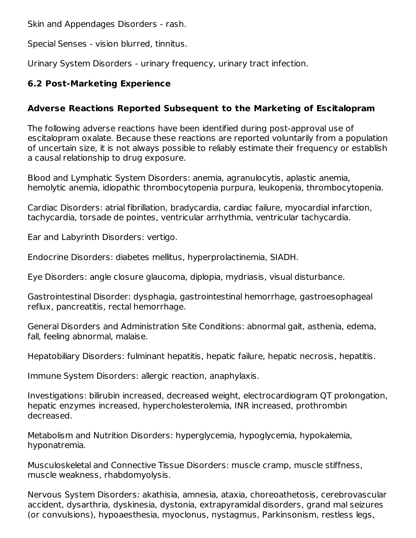Skin and Appendages Disorders - rash.

Special Senses - vision blurred, tinnitus.

Urinary System Disorders - urinary frequency, urinary tract infection.

## **6.2 Post-Marketing Experience**

# **Adverse Reactions Reported Subsequent to the Marketing of Escitalopram**

The following adverse reactions have been identified during post-approval use of escitalopram oxalate. Because these reactions are reported voluntarily from a population of uncertain size, it is not always possible to reliably estimate their frequency or establish a causal relationship to drug exposure.

Blood and Lymphatic System Disorders: anemia, agranulocytis, aplastic anemia, hemolytic anemia, idiopathic thrombocytopenia purpura, leukopenia, thrombocytopenia.

Cardiac Disorders: atrial fibrillation, bradycardia, cardiac failure, myocardial infarction, tachycardia, torsade de pointes, ventricular arrhythmia, ventricular tachycardia.

Ear and Labyrinth Disorders: vertigo.

Endocrine Disorders: diabetes mellitus, hyperprolactinemia, SIADH.

Eye Disorders: angle closure glaucoma, diplopia, mydriasis, visual disturbance.

Gastrointestinal Disorder: dysphagia, gastrointestinal hemorrhage, gastroesophageal reflux, pancreatitis, rectal hemorrhage.

General Disorders and Administration Site Conditions: abnormal gait, asthenia, edema, fall, feeling abnormal, malaise.

Hepatobiliary Disorders: fulminant hepatitis, hepatic failure, hepatic necrosis, hepatitis.

Immune System Disorders: allergic reaction, anaphylaxis.

Investigations: bilirubin increased, decreased weight, electrocardiogram QT prolongation, hepatic enzymes increased, hypercholesterolemia, INR increased, prothrombin decreased.

Metabolism and Nutrition Disorders: hyperglycemia, hypoglycemia, hypokalemia, hyponatremia.

Musculoskeletal and Connective Tissue Disorders: muscle cramp, muscle stiffness, muscle weakness, rhabdomyolysis.

Nervous System Disorders: akathisia, amnesia, ataxia, choreoathetosis, cerebrovascular accident, dysarthria, dyskinesia, dystonia, extrapyramidal disorders, grand mal seizures (or convulsions), hypoaesthesia, myoclonus, nystagmus, Parkinsonism, restless legs,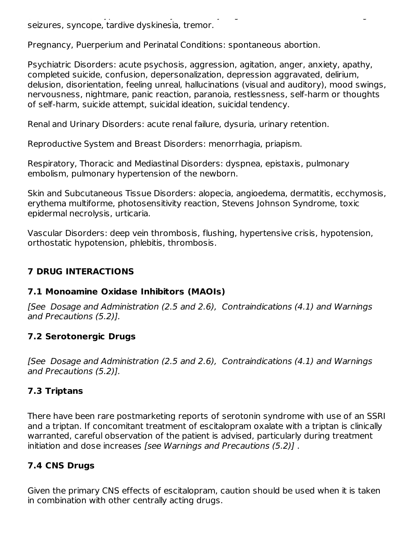(or convulsions), hypoaesthesia, myoclonus, nystagmus, Parkinsonism, restless legs, seizures, syncope, tardive dyskinesia, tremor.

Pregnancy, Puerperium and Perinatal Conditions: spontaneous abortion.

Psychiatric Disorders: acute psychosis, aggression, agitation, anger, anxiety, apathy, completed suicide, confusion, depersonalization, depression aggravated, delirium, delusion, disorientation, feeling unreal, hallucinations (visual and auditory), mood swings, nervousness, nightmare, panic reaction, paranoia, restlessness, self-harm or thoughts of self-harm, suicide attempt, suicidal ideation, suicidal tendency.

Renal and Urinary Disorders: acute renal failure, dysuria, urinary retention.

Reproductive System and Breast Disorders: menorrhagia, priapism.

Respiratory, Thoracic and Mediastinal Disorders: dyspnea, epistaxis, pulmonary embolism, pulmonary hypertension of the newborn.

Skin and Subcutaneous Tissue Disorders: alopecia, angioedema, dermatitis, ecchymosis, erythema multiforme, photosensitivity reaction, Stevens Johnson Syndrome, toxic epidermal necrolysis, urticaria.

Vascular Disorders: deep vein thrombosis, flushing, hypertensive crisis, hypotension, orthostatic hypotension, phlebitis, thrombosis.

# **7 DRUG INTERACTIONS**

# **7.1 Monoamine Oxidase Inhibitors (MAOIs)**

[See Dosage and Administration (2.5 and 2.6), Contraindications (4.1) and Warnings and Precautions (5.2)].

# **7.2 Serotonergic Drugs**

[See Dosage and Administration (2.5 and 2.6), Contraindications (4.1) and Warnings and Precautions (5.2)].

# **7.3 Triptans**

There have been rare postmarketing reports of serotonin syndrome with use of an SSRI and a triptan. If concomitant treatment of escitalopram oxalate with a triptan is clinically warranted, careful observation of the patient is advised, particularly during treatment initiation and dose increases [see Warnings and Precautions (5.2)] .

# **7.4 CNS Drugs**

Given the primary CNS effects of escitalopram, caution should be used when it is taken in combination with other centrally acting drugs.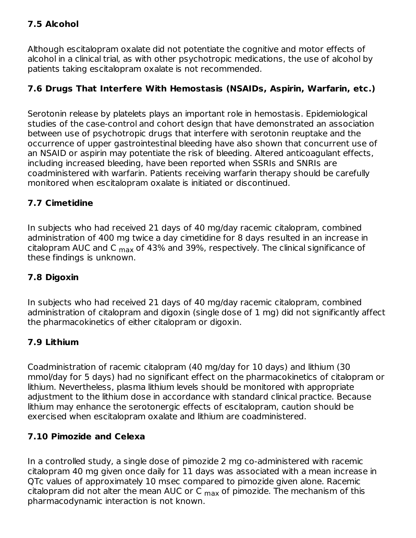# **7.5 Alcohol**

Although escitalopram oxalate did not potentiate the cognitive and motor effects of alcohol in a clinical trial, as with other psychotropic medications, the use of alcohol by patients taking escitalopram oxalate is not recommended.

## **7.6 Drugs That Interfere With Hemostasis (NSAIDs, Aspirin, Warfarin, etc.)**

Serotonin release by platelets plays an important role in hemostasis. Epidemiological studies of the case-control and cohort design that have demonstrated an association between use of psychotropic drugs that interfere with serotonin reuptake and the occurrence of upper gastrointestinal bleeding have also shown that concurrent use of an NSAID or aspirin may potentiate the risk of bleeding. Altered anticoagulant effects, including increased bleeding, have been reported when SSRIs and SNRIs are coadministered with warfarin. Patients receiving warfarin therapy should be carefully monitored when escitalopram oxalate is initiated or discontinued.

## **7.7 Cimetidine**

In subjects who had received 21 days of 40 mg/day racemic citalopram, combined administration of 400 mg twice a day cimetidine for 8 days resulted in an increase in citalopram AUC and C <sub>max</sub> of 43% and 39%, respectively. The clinical significance of these findings is unknown.

## **7.8 Digoxin**

In subjects who had received 21 days of 40 mg/day racemic citalopram, combined administration of citalopram and digoxin (single dose of 1 mg) did not significantly affect the pharmacokinetics of either citalopram or digoxin.

## **7.9 Lithium**

Coadministration of racemic citalopram (40 mg/day for 10 days) and lithium (30 mmol/day for 5 days) had no significant effect on the pharmacokinetics of citalopram or lithium. Nevertheless, plasma lithium levels should be monitored with appropriate adjustment to the lithium dose in accordance with standard clinical practice. Because lithium may enhance the serotonergic effects of escitalopram, caution should be exercised when escitalopram oxalate and lithium are coadministered.

## **7.10 Pimozide and Celexa**

In a controlled study, a single dose of pimozide 2 mg co-administered with racemic citalopram 40 mg given once daily for 11 days was associated with a mean increase in QTc values of approximately 10 msec compared to pimozide given alone. Racemic citalopram did not alter the mean AUC or C  $_{\sf max}$  of pimozide. The mechanism of this pharmacodynamic interaction is not known.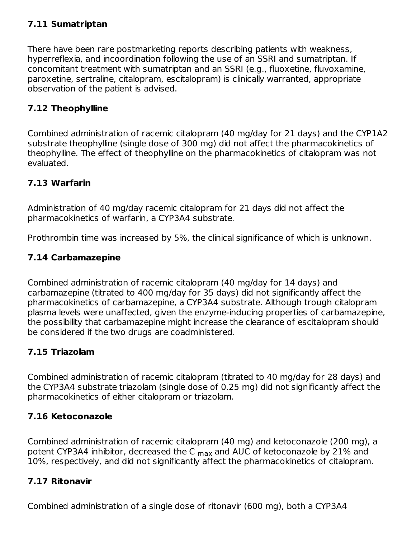# **7.11 Sumatriptan**

There have been rare postmarketing reports describing patients with weakness, hyperreflexia, and incoordination following the use of an SSRI and sumatriptan. If concomitant treatment with sumatriptan and an SSRI (e.g., fluoxetine, fluvoxamine, paroxetine, sertraline, citalopram, escitalopram) is clinically warranted, appropriate observation of the patient is advised.

## **7.12 Theophylline**

Combined administration of racemic citalopram (40 mg/day for 21 days) and the CYP1A2 substrate theophylline (single dose of 300 mg) did not affect the pharmacokinetics of theophylline. The effect of theophylline on the pharmacokinetics of citalopram was not evaluated.

## **7.13 Warfarin**

Administration of 40 mg/day racemic citalopram for 21 days did not affect the pharmacokinetics of warfarin, a CYP3A4 substrate.

Prothrombin time was increased by 5%, the clinical significance of which is unknown.

# **7.14 Carbamazepine**

Combined administration of racemic citalopram (40 mg/day for 14 days) and carbamazepine (titrated to 400 mg/day for 35 days) did not significantly affect the pharmacokinetics of carbamazepine, a CYP3A4 substrate. Although trough citalopram plasma levels were unaffected, given the enzyme-inducing properties of carbamazepine, the possibility that carbamazepine might increase the clearance of escitalopram should be considered if the two drugs are coadministered.

## **7.15 Triazolam**

Combined administration of racemic citalopram (titrated to 40 mg/day for 28 days) and the CYP3A4 substrate triazolam (single dose of 0.25 mg) did not significantly affect the pharmacokinetics of either citalopram or triazolam.

## **7.16 Ketoconazole**

Combined administration of racemic citalopram (40 mg) and ketoconazole (200 mg), a potent CYP3A4 inhibitor, decreased the C <sub>max</sub> and AUC of ketoconazole by 21% and 10%, respectively, and did not significantly affect the pharmacokinetics of citalopram.

#### **7.17 Ritonavir**

Combined administration of a single dose of ritonavir (600 mg), both a CYP3A4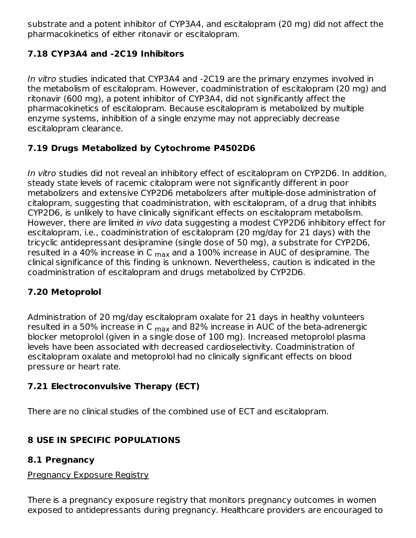substrate and a potent inhibitor of CYP3A4, and escitalopram (20 mg) did not affect the pharmacokinetics of either ritonavir or escitalopram.

# **7.18 CYP3A4 and -2C19 Inhibitors**

In vitro studies indicated that CYP3A4 and -2C19 are the primary enzymes involved in the metabolism of escitalopram. However, coadministration of escitalopram (20 mg) and ritonavir (600 mg), a potent inhibitor of CYP3A4, did not significantly affect the pharmacokinetics of escitalopram. Because escitalopram is metabolized by multiple enzyme systems, inhibition of a single enzyme may not appreciably decrease escitalopram clearance.

# **7.19 Drugs Metabolized by Cytochrome P4502D6**

In vitro studies did not reveal an inhibitory effect of escitalopram on CYP2D6. In addition, steady state levels of racemic citalopram were not significantly different in poor metabolizers and extensive CYP2D6 metabolizers after multiple-dose administration of citalopram, suggesting that coadministration, with escitalopram, of a drug that inhibits CYP2D6, is unlikely to have clinically significant effects on escitalopram metabolism. However, there are limited in vivo data suggesting a modest CYP2D6 inhibitory effect for escitalopram, i.e., coadministration of escitalopram (20 mg/day for 21 days) with the tricyclic antidepressant desipramine (single dose of 50 mg), a substrate for CYP2D6, resulted in a 40% increase in C  $_{\sf max}$  and a 100% increase in AUC of desipramine. The clinical significance of this finding is unknown. Nevertheless, caution is indicated in the coadministration of escitalopram and drugs metabolized by CYP2D6.

# **7.20 Metoprolol**

Administration of 20 mg/day escitalopram oxalate for 21 days in healthy volunteers resulted in a 50% increase in C <sub>max</sub> and 82% increase in AUC of the beta-adrenergic blocker metoprolol (given in a single dose of 100 mg). Increased metoprolol plasma levels have been associated with decreased cardioselectivity. Coadministration of escitalopram oxalate and metoprolol had no clinically significant effects on blood pressure or heart rate.

# **7.21 Electroconvulsive Therapy (ECT)**

There are no clinical studies of the combined use of ECT and escitalopram.

# **8 USE IN SPECIFIC POPULATIONS**

# **8.1 Pregnancy**

Pregnancy Exposure Registry

There is a pregnancy exposure registry that monitors pregnancy outcomes in women exposed to antidepressants during pregnancy. Healthcare providers are encouraged to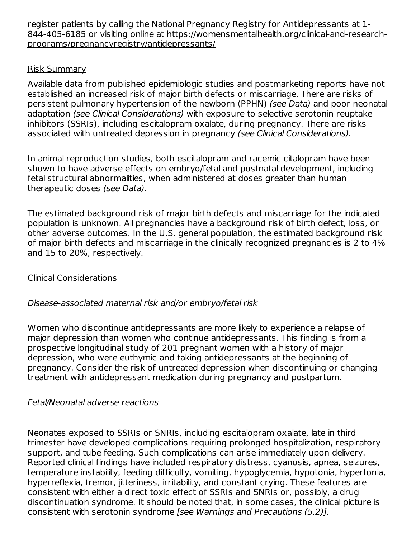register patients by calling the National Pregnancy Registry for Antidepressants at 1- 844-405-6185 or visiting online at https://womensmentalhealth.org/clinical-and-researchprograms/pregnancyregistry/antidepressants/

#### Risk Summary

Available data from published epidemiologic studies and postmarketing reports have not established an increased risk of major birth defects or miscarriage. There are risks of persistent pulmonary hypertension of the newborn (PPHN) (see Data) and poor neonatal adaptation (see Clinical Considerations) with exposure to selective serotonin reuptake inhibitors (SSRIs), including escitalopram oxalate, during pregnancy. There are risks associated with untreated depression in pregnancy (see Clinical Considerations).

In animal reproduction studies, both escitalopram and racemic citalopram have been shown to have adverse effects on embryo/fetal and postnatal development, including fetal structural abnormalities, when administered at doses greater than human therapeutic doses (see Data).

The estimated background risk of major birth defects and miscarriage for the indicated population is unknown. All pregnancies have a background risk of birth defect, loss, or other adverse outcomes. In the U.S. general population, the estimated background risk of major birth defects and miscarriage in the clinically recognized pregnancies is 2 to 4% and 15 to 20%, respectively.

#### Clinical Considerations

#### Disease-associated maternal risk and/or embryo/fetal risk

Women who discontinue antidepressants are more likely to experience a relapse of major depression than women who continue antidepressants. This finding is from a prospective longitudinal study of 201 pregnant women with a history of major depression, who were euthymic and taking antidepressants at the beginning of pregnancy. Consider the risk of untreated depression when discontinuing or changing treatment with antidepressant medication during pregnancy and postpartum.

#### Fetal/Neonatal adverse reactions

Neonates exposed to SSRIs or SNRIs, including escitalopram oxalate, late in third trimester have developed complications requiring prolonged hospitalization, respiratory support, and tube feeding. Such complications can arise immediately upon delivery. Reported clinical findings have included respiratory distress, cyanosis, apnea, seizures, temperature instability, feeding difficulty, vomiting, hypoglycemia, hypotonia, hypertonia, hyperreflexia, tremor, jitteriness, irritability, and constant crying. These features are consistent with either a direct toxic effect of SSRIs and SNRIs or, possibly, a drug discontinuation syndrome. It should be noted that, in some cases, the clinical picture is consistent with serotonin syndrome [see Warnings and Precautions (5.2)].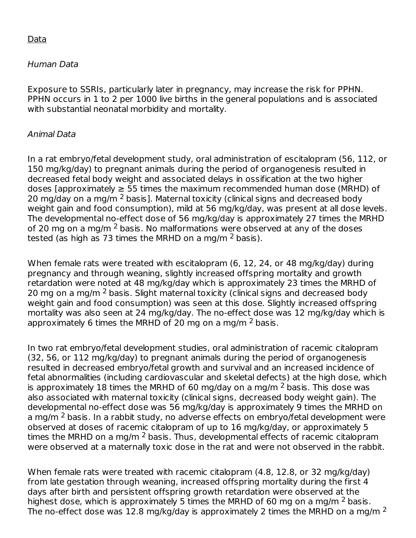#### Data

#### Human Data

Exposure to SSRIs, particularly later in pregnancy, may increase the risk for PPHN. PPHN occurs in 1 to 2 per 1000 live births in the general populations and is associated with substantial neonatal morbidity and mortality.

#### Animal Data

In a rat embryo/fetal development study, oral administration of escitalopram (56, 112, or 150 mg/kg/day) to pregnant animals during the period of organogenesis resulted in decreased fetal body weight and associated delays in ossification at the two higher doses [approximately  $\geq$  55 times the maximum recommended human dose (MRHD) of 20 mg/day on a mg/m <sup>2</sup> basis]. Maternal toxicity (clinical signs and decreased body weight gain and food consumption), mild at 56 mg/kg/day, was present at all dose levels. The developmental no-effect dose of 56 mg/kg/day is approximately 27 times the MRHD of 20 mg on a mg/m  $^2$  basis. No malformations were observed at any of the doses tested (as high as 73 times the MRHD on a mg/m  $^2$  basis).

When female rats were treated with escitalopram (6, 12, 24, or 48 mg/kg/day) during pregnancy and through weaning, slightly increased offspring mortality and growth retardation were noted at 48 mg/kg/day which is approximately 23 times the MRHD of 20 mg on a mg/m <sup>2</sup> basis. Slight maternal toxicity (clinical signs and decreased body weight gain and food consumption) was seen at this dose. Slightly increased offspring mortality was also seen at 24 mg/kg/day. The no-effect dose was 12 mg/kg/day which is approximately 6 times the MRHD of 20 mg on a mg/m  $^2$  basis.

In two rat embryo/fetal development studies, oral administration of racemic citalopram (32, 56, or 112 mg/kg/day) to pregnant animals during the period of organogenesis resulted in decreased embryo/fetal growth and survival and an increased incidence of fetal abnormalities (including cardiovascular and skeletal defects) at the high dose, which is approximately 18 times the MRHD of 60 mg/day on a mg/m  $^2$  basis. This dose was also associated with maternal toxicity (clinical signs, decreased body weight gain). The developmental no-effect dose was 56 mg/kg/day is approximately 9 times the MRHD on a mg/m <sup>2</sup> basis. In a rabbit study, no adverse effects on embryo/fetal development were observed at doses of racemic citalopram of up to 16 mg/kg/day, or approximately 5 times the MRHD on a mg/m  $^2$  basis. Thus, developmental effects of racemic citalopram were observed at a maternally toxic dose in the rat and were not observed in the rabbit.

When female rats were treated with racemic citalopram (4.8, 12.8, or 32 mg/kg/day) from late gestation through weaning, increased offspring mortality during the first 4 days after birth and persistent offspring growth retardation were observed at the highest dose, which is approximately 5 times the MRHD of 60 mg on a mg/m  $^2$  basis. The no-effect dose was 12.8 mg/kg/day is approximately 2 times the MRHD on a mg/m <sup>2</sup>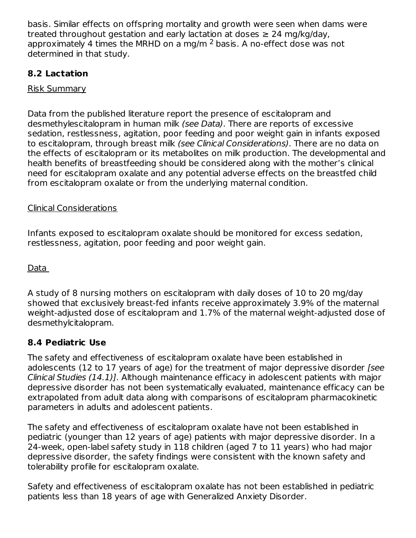basis. Similar effects on offspring mortality and growth were seen when dams were treated throughout gestation and early lactation at doses  $\geq 24$  mg/kg/day, approximately 4 times the MRHD on a mg/m  $^2$  basis. A no-effect dose was not determined in that study.

# **8.2 Lactation**

Risk Summary

Data from the published literature report the presence of escitalopram and desmethylescitalopram in human milk (see Data). There are reports of excessive sedation, restlessness, agitation, poor feeding and poor weight gain in infants exposed to escitalopram, through breast milk *(see Clinical Considerations)*. There are no data on the effects of escitalopram or its metabolites on milk production. The developmental and health benefits of breastfeeding should be considered along with the mother's clinical need for escitalopram oxalate and any potential adverse effects on the breastfed child from escitalopram oxalate or from the underlying maternal condition.

#### Clinical Considerations

Infants exposed to escitalopram oxalate should be monitored for excess sedation, restlessness, agitation, poor feeding and poor weight gain.

Data

A study of 8 nursing mothers on escitalopram with daily doses of 10 to 20 mg/day showed that exclusively breast-fed infants receive approximately 3.9% of the maternal weight-adjusted dose of escitalopram and 1.7% of the maternal weight-adjusted dose of desmethylcitalopram.

## **8.4 Pediatric Use**

The safety and effectiveness of escitalopram oxalate have been established in adolescents (12 to 17 years of age) for the treatment of major depressive disorder [see Clinical Studies (14.1)]. Although maintenance efficacy in adolescent patients with major depressive disorder has not been systematically evaluated, maintenance efficacy can be extrapolated from adult data along with comparisons of escitalopram pharmacokinetic parameters in adults and adolescent patients.

The safety and effectiveness of escitalopram oxalate have not been established in pediatric (younger than 12 years of age) patients with major depressive disorder. In a 24-week, open-label safety study in 118 children (aged 7 to 11 years) who had major depressive disorder, the safety findings were consistent with the known safety and tolerability profile for escitalopram oxalate.

Safety and effectiveness of escitalopram oxalate has not been established in pediatric patients less than 18 years of age with Generalized Anxiety Disorder.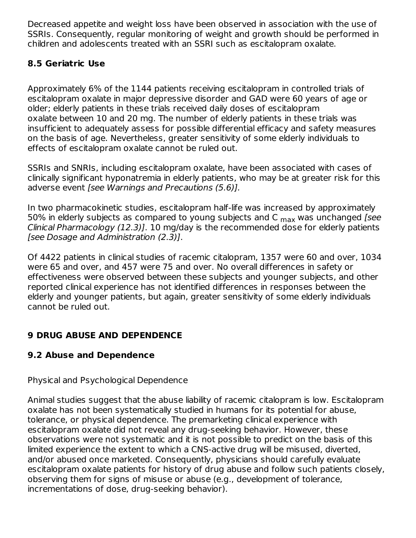Decreased appetite and weight loss have been observed in association with the use of SSRIs. Consequently, regular monitoring of weight and growth should be performed in children and adolescents treated with an SSRI such as escitalopram oxalate.

## **8.5 Geriatric Use**

Approximately 6% of the 1144 patients receiving escitalopram in controlled trials of escitalopram oxalate in major depressive disorder and GAD were 60 years of age or older; elderly patients in these trials received daily doses of escitalopram oxalate between 10 and 20 mg. The number of elderly patients in these trials was insufficient to adequately assess for possible differential efficacy and safety measures on the basis of age. Nevertheless, greater sensitivity of some elderly individuals to effects of escitalopram oxalate cannot be ruled out.

SSRIs and SNRIs, including escitalopram oxalate, have been associated with cases of clinically significant hyponatremia in elderly patients, who may be at greater risk for this adverse event [see Warnings and Precautions (5.6)].

In two pharmacokinetic studies, escitalopram half-life was increased by approximately 50% in elderly subjects as compared to young subjects and C  $_{\sf max}$  was unchanged [see Clinical Pharmacology (12.3)]. 10 mg/day is the recommended dose for elderly patients [see Dosage and Administration (2.3)].

Of 4422 patients in clinical studies of racemic citalopram, 1357 were 60 and over, 1034 were 65 and over, and 457 were 75 and over. No overall differences in safety or effectiveness were observed between these subjects and younger subjects, and other reported clinical experience has not identified differences in responses between the elderly and younger patients, but again, greater sensitivity of some elderly individuals cannot be ruled out.

# **9 DRUG ABUSE AND DEPENDENCE**

# **9.2 Abuse and Dependence**

Physical and Psychological Dependence

Animal studies suggest that the abuse liability of racemic citalopram is low. Escitalopram oxalate has not been systematically studied in humans for its potential for abuse, tolerance, or physical dependence. The premarketing clinical experience with escitalopram oxalate did not reveal any drug-seeking behavior. However, these observations were not systematic and it is not possible to predict on the basis of this limited experience the extent to which a CNS-active drug will be misused, diverted, and/or abused once marketed. Consequently, physicians should carefully evaluate escitalopram oxalate patients for history of drug abuse and follow such patients closely, observing them for signs of misuse or abuse (e.g., development of tolerance, incrementations of dose, drug-seeking behavior).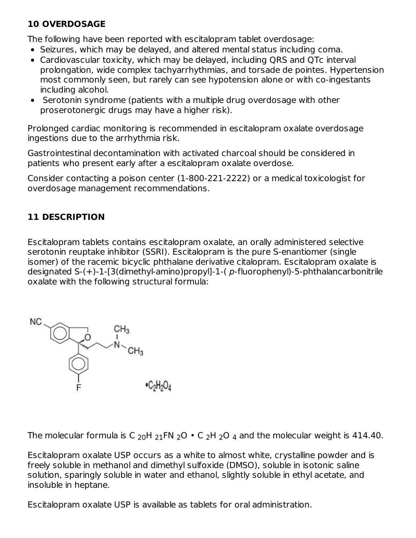# **10 OVERDOSAGE**

The following have been reported with escitalopram tablet overdosage:

- Seizures, which may be delayed, and altered mental status including coma.
- Cardiovascular toxicity, which may be delayed, including QRS and QTc interval prolongation, wide complex tachyarrhythmias, and torsade de pointes. Hypertension most commonly seen, but rarely can see hypotension alone or with co-ingestants including alcohol.
- Serotonin syndrome (patients with a multiple drug overdosage with other proserotonergic drugs may have a higher risk).

Prolonged cardiac monitoring is recommended in escitalopram oxalate overdosage ingestions due to the arrhythmia risk.

Gastrointestinal decontamination with activated charcoal should be considered in patients who present early after a escitalopram oxalate overdose.

Consider contacting a poison center (1-800-221-2222) or a medical toxicologist for overdosage management recommendations.

# **11 DESCRIPTION**

Escitalopram tablets contains escitalopram oxalate, an orally administered selective serotonin reuptake inhibitor (SSRI). Escitalopram is the pure S-enantiomer (single isomer) of the racemic bicyclic phthalane derivative citalopram. Escitalopram oxalate is designated S-(+)-1-[3(dimethyl-amino)propyl]-1-( p-fluorophenyl)-5-phthalancarbonitrile oxalate with the following structural formula:



The molecular formula is C  $_{20}$ H  $_{21}$ FN  $_{2}$ O  $\bullet$  C  $_{2}$ H  $_{2}$ O  $_{4}$  and the molecular weight is 414.40.

Escitalopram oxalate USP occurs as a white to almost white, crystalline powder and is freely soluble in methanol and dimethyl sulfoxide (DMSO), soluble in isotonic saline solution, sparingly soluble in water and ethanol, slightly soluble in ethyl acetate, and insoluble in heptane.

Escitalopram oxalate USP is available as tablets for oral administration.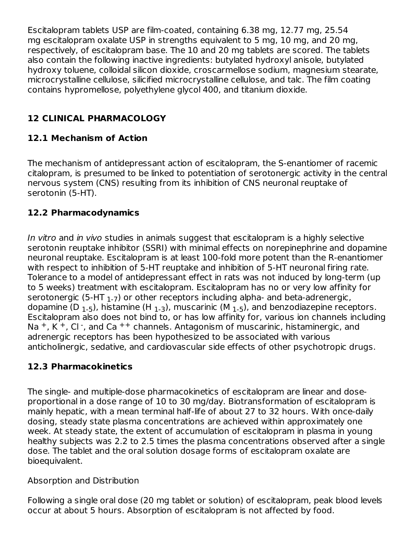Escitalopram tablets USP are film-coated, containing 6.38 mg, 12.77 mg, 25.54 mg escitalopram oxalate USP in strengths equivalent to 5 mg, 10 mg, and 20 mg, respectively, of escitalopram base. The 10 and 20 mg tablets are scored. The tablets also contain the following inactive ingredients: butylated hydroxyl anisole, butylated hydroxy toluene, colloidal silicon dioxide, croscarmellose sodium, magnesium stearate, microcrystalline cellulose, silicified microcrystalline cellulose, and talc. The film coating contains hypromellose, polyethylene glycol 400, and titanium dioxide.

# **12 CLINICAL PHARMACOLOGY**

# **12.1 Mechanism of Action**

The mechanism of antidepressant action of escitalopram, the S-enantiomer of racemic citalopram, is presumed to be linked to potentiation of serotonergic activity in the central nervous system (CNS) resulting from its inhibition of CNS neuronal reuptake of serotonin (5-HT).

# **12.2 Pharmacodynamics**

In vitro and in vivo studies in animals suggest that escitalopram is a highly selective serotonin reuptake inhibitor (SSRI) with minimal effects on norepinephrine and dopamine neuronal reuptake. Escitalopram is at least 100-fold more potent than the R-enantiomer with respect to inhibition of 5-HT reuptake and inhibition of 5-HT neuronal firing rate. Tolerance to a model of antidepressant effect in rats was not induced by long-term (up to 5 weeks) treatment with escitalopram. Escitalopram has no or very low affinity for serotonergic (5-HT  $_{\rm 1-7})$  or other receptors including alpha- and beta-adrenergic, dopamine (D  $_{\rm 1-5}$ ), histamine (H  $_{\rm 1-3}$ ), muscarinic (M  $_{\rm 1-5}$ ), and benzodiazepine receptors. Escitalopram also does not bind to, or has low affinity for, various ion channels including Na<sup>+</sup>, K<sup>+</sup>, Cl<sup>-</sup>, and Ca<sup>++</sup> channels. Antagonism of muscarinic, histaminergic, and adrenergic receptors has been hypothesized to be associated with various anticholinergic, sedative, and cardiovascular side effects of other psychotropic drugs.

## **12.3 Pharmacokinetics**

The single- and multiple-dose pharmacokinetics of escitalopram are linear and doseproportional in a dose range of 10 to 30 mg/day. Biotransformation of escitalopram is mainly hepatic, with a mean terminal half-life of about 27 to 32 hours. With once-daily dosing, steady state plasma concentrations are achieved within approximately one week. At steady state, the extent of accumulation of escitalopram in plasma in young healthy subjects was 2.2 to 2.5 times the plasma concentrations observed after a single dose. The tablet and the oral solution dosage forms of escitalopram oxalate are bioequivalent.

## Absorption and Distribution

Following a single oral dose (20 mg tablet or solution) of escitalopram, peak blood levels occur at about 5 hours. Absorption of escitalopram is not affected by food.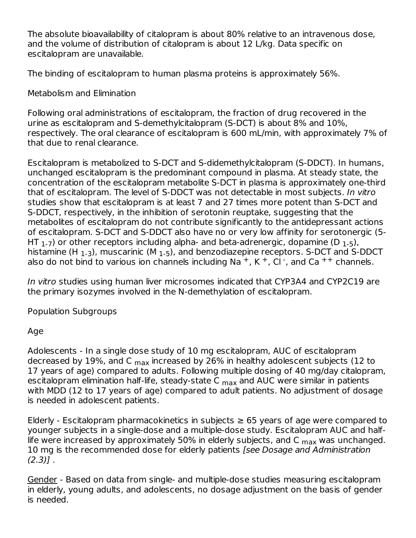The absolute bioavailability of citalopram is about 80% relative to an intravenous dose, and the volume of distribution of citalopram is about 12 L/kg. Data specific on escitalopram are unavailable.

The binding of escitalopram to human plasma proteins is approximately 56%.

Metabolism and Elimination

Following oral administrations of escitalopram, the fraction of drug recovered in the urine as escitalopram and S-demethylcitalopram (S-DCT) is about 8% and 10%, respectively. The oral clearance of escitalopram is 600 mL/min, with approximately 7% of that due to renal clearance.

Escitalopram is metabolized to S-DCT and S-didemethylcitalopram (S-DDCT). In humans, unchanged escitalopram is the predominant compound in plasma. At steady state, the concentration of the escitalopram metabolite S-DCT in plasma is approximately one-third that of escitalopram. The level of S-DDCT was not detectable in most subjects. In vitro studies show that escitalopram is at least 7 and 27 times more potent than S-DCT and S-DDCT, respectively, in the inhibition of serotonin reuptake, suggesting that the metabolites of escitalopram do not contribute significantly to the antidepressant actions of escitalopram. S-DCT and S-DDCT also have no or very low affinity for serotonergic (5- HT  $_{1}$ -7) or other receptors including alpha- and beta-adrenergic, dopamine (D  $_{1}$ -5), histamine (H  $_{\rm 1-3}$ ), muscarinic (M  $_{\rm 1-5}$ ), and benzodiazepine receptors. S-DCT and S-DDCT also do not bind to various ion channels including Na<sup>+</sup>, K<sup>+</sup>, Cl<sup>-</sup>, and Ca<sup>++</sup> channels.

In vitro studies using human liver microsomes indicated that CYP3A4 and CYP2C19 are the primary isozymes involved in the N-demethylation of escitalopram.

Population Subgroups

## Age

Adolescents - In a single dose study of 10 mg escitalopram, AUC of escitalopram decreased by 19%, and C <sub>max</sub> increased by 26% in healthy adolescent subjects (12 to 17 years of age) compared to adults. Following multiple dosing of 40 mg/day citalopram, escitalopram elimination half-life, steady-state C <sub>max</sub> and AUC were similar in patients with MDD (12 to 17 years of age) compared to adult patients. No adjustment of dosage is needed in adolescent patients.

Elderly - Escitalopram pharmacokinetics in subjects  $\geq$  65 years of age were compared to younger subjects in a single-dose and a multiple-dose study. Escitalopram AUC and halflife were increased by approximately 50% in elderly subjects, and C  $_{\sf max}$  was unchanged. 10 mg is the recommended dose for elderly patients [see Dosage and Administration  $(2.3)$ ].

Gender - Based on data from single- and multiple-dose studies measuring escitalopram in elderly, young adults, and adolescents, no dosage adjustment on the basis of gender is needed.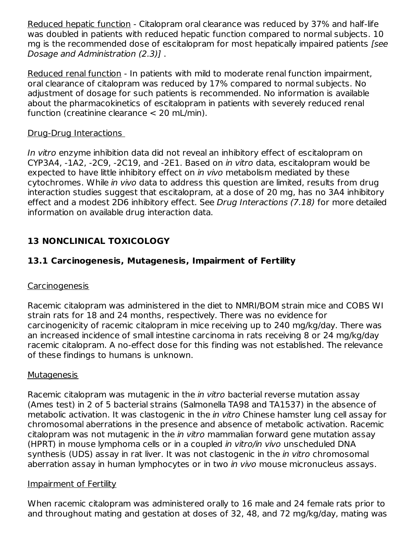Reduced hepatic function - Citalopram oral clearance was reduced by 37% and half-life was doubled in patients with reduced hepatic function compared to normal subjects. 10 mg is the recommended dose of escitalopram for most hepatically impaired patients [see Dosage and Administration (2.3)] .

Reduced renal function - In patients with mild to moderate renal function impairment, oral clearance of citalopram was reduced by 17% compared to normal subjects. No adjustment of dosage for such patients is recommended. No information is available about the pharmacokinetics of escitalopram in patients with severely reduced renal function (creatinine clearance < 20 mL/min).

#### Drug-Drug Interactions

In vitro enzyme inhibition data did not reveal an inhibitory effect of escitalopram on CYP3A4, -1A2, -2C9, -2C19, and -2E1. Based on in vitro data, escitalopram would be expected to have little inhibitory effect on in vivo metabolism mediated by these cytochromes. While in vivo data to address this question are limited, results from drug interaction studies suggest that escitalopram, at a dose of 20 mg, has no 3A4 inhibitory effect and a modest 2D6 inhibitory effect. See Drug Interactions (7.18) for more detailed information on available drug interaction data.

# **13 NONCLINICAL TOXICOLOGY**

# **13.1 Carcinogenesis, Mutagenesis, Impairment of Fertility**

## **Carcinogenesis**

Racemic citalopram was administered in the diet to NMRI/BOM strain mice and COBS WI strain rats for 18 and 24 months, respectively. There was no evidence for carcinogenicity of racemic citalopram in mice receiving up to 240 mg/kg/day. There was an increased incidence of small intestine carcinoma in rats receiving 8 or 24 mg/kg/day racemic citalopram. A no-effect dose for this finding was not established. The relevance of these findings to humans is unknown.

#### **Mutagenesis**

Racemic citalopram was mutagenic in the *in vitro* bacterial reverse mutation assay (Ames test) in 2 of 5 bacterial strains (Salmonella TA98 and TA1537) in the absence of metabolic activation. It was clastogenic in the *in vitro* Chinese hamster lung cell assay for chromosomal aberrations in the presence and absence of metabolic activation. Racemic citalopram was not mutagenic in the in vitro mammalian forward gene mutation assay (HPRT) in mouse lymphoma cells or in a coupled in vitro/in vivo unscheduled DNA synthesis (UDS) assay in rat liver. It was not clastogenic in the *in vitro* chromosomal aberration assay in human lymphocytes or in two *in vivo* mouse micronucleus assays.

#### Impairment of Fertility

When racemic citalopram was administered orally to 16 male and 24 female rats prior to and throughout mating and gestation at doses of 32, 48, and 72 mg/kg/day, mating was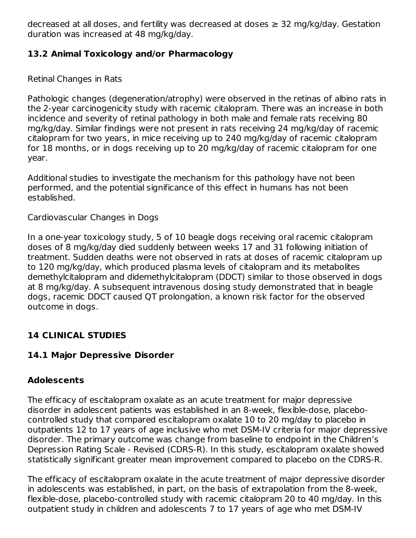decreased at all doses, and fertility was decreased at doses  $\geq$  32 mg/kg/day. Gestation duration was increased at 48 mg/kg/day.

# **13.2 Animal Toxicology and/or Pharmacology**

Retinal Changes in Rats

Pathologic changes (degeneration/atrophy) were observed in the retinas of albino rats in the 2-year carcinogenicity study with racemic citalopram. There was an increase in both incidence and severity of retinal pathology in both male and female rats receiving 80 mg/kg/day. Similar findings were not present in rats receiving 24 mg/kg/day of racemic citalopram for two years, in mice receiving up to 240 mg/kg/day of racemic citalopram for 18 months, or in dogs receiving up to 20 mg/kg/day of racemic citalopram for one year.

Additional studies to investigate the mechanism for this pathology have not been performed, and the potential significance of this effect in humans has not been established.

## Cardiovascular Changes in Dogs

In a one-year toxicology study, 5 of 10 beagle dogs receiving oral racemic citalopram doses of 8 mg/kg/day died suddenly between weeks 17 and 31 following initiation of treatment. Sudden deaths were not observed in rats at doses of racemic citalopram up to 120 mg/kg/day, which produced plasma levels of citalopram and its metabolites demethylcitalopram and didemethylcitalopram (DDCT) similar to those observed in dogs at 8 mg/kg/day. A subsequent intravenous dosing study demonstrated that in beagle dogs, racemic DDCT caused QT prolongation, a known risk factor for the observed outcome in dogs.

# **14 CLINICAL STUDIES**

# **14.1 Major Depressive Disorder**

# **Adolescents**

The efficacy of escitalopram oxalate as an acute treatment for major depressive disorder in adolescent patients was established in an 8-week, flexible-dose, placebocontrolled study that compared escitalopram oxalate 10 to 20 mg/day to placebo in outpatients 12 to 17 years of age inclusive who met DSM-IV criteria for major depressive disorder. The primary outcome was change from baseline to endpoint in the Children's Depression Rating Scale - Revised (CDRS-R). In this study, escitalopram oxalate showed statistically significant greater mean improvement compared to placebo on the CDRS-R.

The efficacy of escitalopram oxalate in the acute treatment of major depressive disorder in adolescents was established, in part, on the basis of extrapolation from the 8-week, flexible-dose, placebo-controlled study with racemic citalopram 20 to 40 mg/day. In this outpatient study in children and adolescents 7 to 17 years of age who met DSM-IV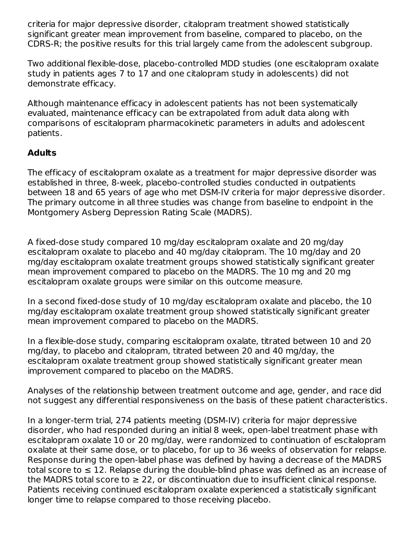criteria for major depressive disorder, citalopram treatment showed statistically significant greater mean improvement from baseline, compared to placebo, on the CDRS-R; the positive results for this trial largely came from the adolescent subgroup.

Two additional flexible-dose, placebo-controlled MDD studies (one escitalopram oxalate study in patients ages 7 to 17 and one citalopram study in adolescents) did not demonstrate efficacy.

Although maintenance efficacy in adolescent patients has not been systematically evaluated, maintenance efficacy can be extrapolated from adult data along with comparisons of escitalopram pharmacokinetic parameters in adults and adolescent patients.

## **Adults**

The efficacy of escitalopram oxalate as a treatment for major depressive disorder was established in three, 8-week, placebo-controlled studies conducted in outpatients between 18 and 65 years of age who met DSM-IV criteria for major depressive disorder. The primary outcome in all three studies was change from baseline to endpoint in the Montgomery Asberg Depression Rating Scale (MADRS).

A fixed-dose study compared 10 mg/day escitalopram oxalate and 20 mg/day escitalopram oxalate to placebo and 40 mg/day citalopram. The 10 mg/day and 20 mg/day escitalopram oxalate treatment groups showed statistically significant greater mean improvement compared to placebo on the MADRS. The 10 mg and 20 mg escitalopram oxalate groups were similar on this outcome measure.

In a second fixed-dose study of 10 mg/day escitalopram oxalate and placebo, the 10 mg/day escitalopram oxalate treatment group showed statistically significant greater mean improvement compared to placebo on the MADRS.

In a flexible-dose study, comparing escitalopram oxalate, titrated between 10 and 20 mg/day, to placebo and citalopram, titrated between 20 and 40 mg/day, the escitalopram oxalate treatment group showed statistically significant greater mean improvement compared to placebo on the MADRS.

Analyses of the relationship between treatment outcome and age, gender, and race did not suggest any differential responsiveness on the basis of these patient characteristics.

In a longer-term trial, 274 patients meeting (DSM-IV) criteria for major depressive disorder, who had responded during an initial 8 week, open-label treatment phase with escitalopram oxalate 10 or 20 mg/day, were randomized to continuation of escitalopram oxalate at their same dose, or to placebo, for up to 36 weeks of observation for relapse. Response during the open-label phase was defined by having a decrease of the MADRS total score to  $\leq 12$ . Relapse during the double-blind phase was defined as an increase of the MADRS total score to  $\geq 22$ , or discontinuation due to insufficient clinical response. Patients receiving continued escitalopram oxalate experienced a statistically significant longer time to relapse compared to those receiving placebo.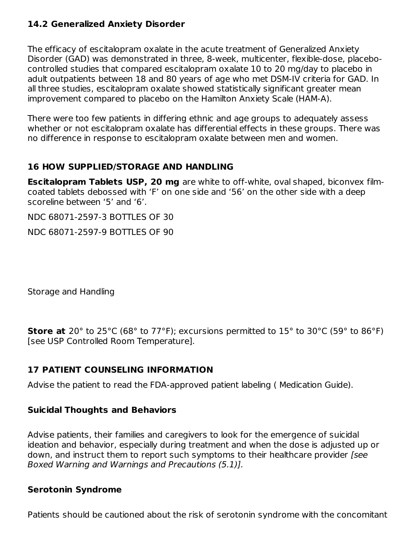#### **14.2 Generalized Anxiety Disorder**

The efficacy of escitalopram oxalate in the acute treatment of Generalized Anxiety Disorder (GAD) was demonstrated in three, 8-week, multicenter, flexible-dose, placebocontrolled studies that compared escitalopram oxalate 10 to 20 mg/day to placebo in adult outpatients between 18 and 80 years of age who met DSM-IV criteria for GAD. In all three studies, escitalopram oxalate showed statistically significant greater mean improvement compared to placebo on the Hamilton Anxiety Scale (HAM-A).

There were too few patients in differing ethnic and age groups to adequately assess whether or not escitalopram oxalate has differential effects in these groups. There was no difference in response to escitalopram oxalate between men and women.

#### **16 HOW SUPPLIED/STORAGE AND HANDLING**

**Escitalopram Tablets USP, 20 mg** are white to off-white, oval shaped, biconvex filmcoated tablets debossed with 'F' on one side and '56' on the other side with a deep scoreline between '5' and '6'.

NDC 68071-2597-3 BOTTLES OF 30

NDC 68071-2597-9 BOTTLES OF 90

Storage and Handling

**Store at** 20° to 25°C (68° to 77°F); excursions permitted to 15° to 30°C (59° to 86°F) [see USP Controlled Room Temperature].

## **17 PATIENT COUNSELING INFORMATION**

Advise the patient to read the FDA-approved patient labeling ( Medication Guide).

#### **Suicidal Thoughts and Behaviors**

Advise patients, their families and caregivers to look for the emergence of suicidal ideation and behavior, especially during treatment and when the dose is adjusted up or down, and instruct them to report such symptoms to their healthcare provider *[see*] Boxed Warning and Warnings and Precautions (5.1)].

#### **Serotonin Syndrome**

Patients should be cautioned about the risk of serotonin syndrome with the concomitant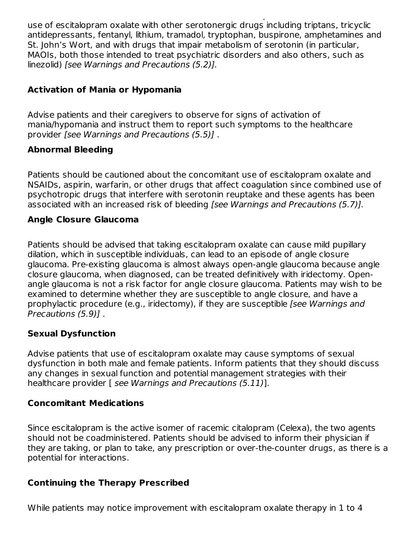Patients should be cautioned about the risk of serotonin syndrome with the concomitant use of escitalopram oxalate with other serotonergic drugs including triptans, tricyclic antidepressants, fentanyl, lithium, tramadol, tryptophan, buspirone, amphetamines and St. John's Wort, and with drugs that impair metabolism of serotonin (in particular, MAOIs, both those intended to treat psychiatric disorders and also others, such as linezolid) [see Warnings and Precautions (5.2)].

#### **Activation of Mania or Hypomania**

Advise patients and their caregivers to observe for signs of activation of mania/hypomania and instruct them to report such symptoms to the healthcare provider [see Warnings and Precautions (5.5)] .

#### **Abnormal Bleeding**

Patients should be cautioned about the concomitant use of escitalopram oxalate and NSAIDs, aspirin, warfarin, or other drugs that affect coagulation since combined use of psychotropic drugs that interfere with serotonin reuptake and these agents has been associated with an increased risk of bleeding [see Warnings and Precautions (5.7)].

## **Angle Closure Glaucoma**

Patients should be advised that taking escitalopram oxalate can cause mild pupillary dilation, which in susceptible individuals, can lead to an episode of angle closure glaucoma. Pre-existing glaucoma is almost always open-angle glaucoma because angle closure glaucoma, when diagnosed, can be treated definitively with iridectomy. Openangle glaucoma is not a risk factor for angle closure glaucoma. Patients may wish to be examined to determine whether they are susceptible to angle closure, and have a prophylactic procedure (e.g., iridectomy), if they are susceptible [see Warnings and Precautions (5.9)] .

#### **Sexual Dysfunction**

Advise patients that use of escitalopram oxalate may cause symptoms of sexual dysfunction in both male and female patients. Inform patients that they should discuss any changes in sexual function and potential management strategies with their healthcare provider [ see Warnings and Precautions (5.11)].

#### **Concomitant Medications**

Since escitalopram is the active isomer of racemic citalopram (Celexa), the two agents should not be coadministered. Patients should be advised to inform their physician if they are taking, or plan to take, any prescription or over-the-counter drugs, as there is a potential for interactions.

## **Continuing the Therapy Prescribed**

While patients may notice improvement with escitalopram oxalate therapy in 1 to 4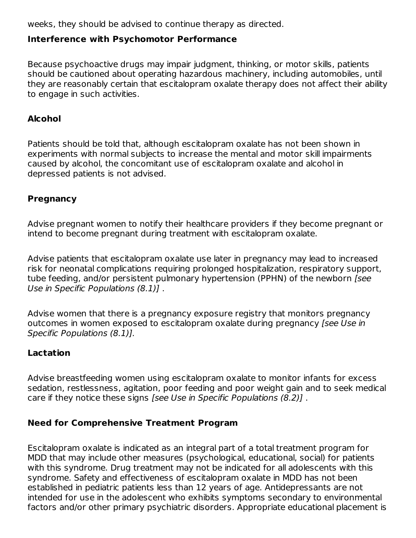weeks, they should be advised to continue therapy as directed.

# **Interference with Psychomotor Performance**

Because psychoactive drugs may impair judgment, thinking, or motor skills, patients should be cautioned about operating hazardous machinery, including automobiles, until they are reasonably certain that escitalopram oxalate therapy does not affect their ability to engage in such activities.

## **Alcohol**

Patients should be told that, although escitalopram oxalate has not been shown in experiments with normal subjects to increase the mental and motor skill impairments caused by alcohol, the concomitant use of escitalopram oxalate and alcohol in depressed patients is not advised.

## **Pregnancy**

Advise pregnant women to notify their healthcare providers if they become pregnant or intend to become pregnant during treatment with escitalopram oxalate.

Advise patients that escitalopram oxalate use later in pregnancy may lead to increased risk for neonatal complications requiring prolonged hospitalization, respiratory support, tube feeding, and/or persistent pulmonary hypertension (PPHN) of the newborn [see Use in Specific Populations (8.1)] .

Advise women that there is a pregnancy exposure registry that monitors pregnancy outcomes in women exposed to escitalopram oxalate during pregnancy [see Use in Specific Populations (8.1)].

#### **Lactation**

Advise breastfeeding women using escitalopram oxalate to monitor infants for excess sedation, restlessness, agitation, poor feeding and poor weight gain and to seek medical care if they notice these signs [see Use in Specific Populations (8.2)].

## **Need for Comprehensive Treatment Program**

Escitalopram oxalate is indicated as an integral part of a total treatment program for MDD that may include other measures (psychological, educational, social) for patients with this syndrome. Drug treatment may not be indicated for all adolescents with this syndrome. Safety and effectiveness of escitalopram oxalate in MDD has not been established in pediatric patients less than 12 years of age. Antidepressants are not intended for use in the adolescent who exhibits symptoms secondary to environmental factors and/or other primary psychiatric disorders. Appropriate educational placement is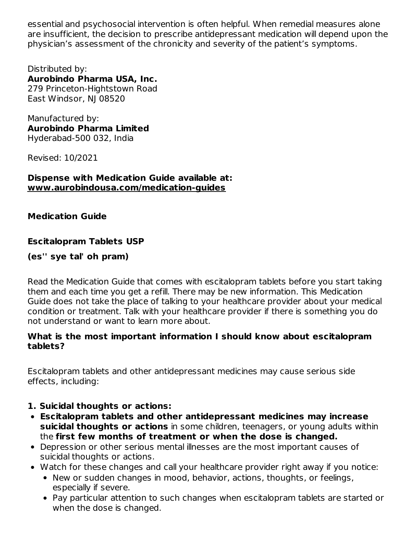essential and psychosocial intervention is often helpful. When remedial measures alone are insufficient, the decision to prescribe antidepressant medication will depend upon the physician's assessment of the chronicity and severity of the patient's symptoms.

Distributed by: **Aurobindo Pharma USA, Inc.** 279 Princeton-Hightstown Road East Windsor, NJ 08520

Manufactured by: **Aurobindo Pharma Limited** Hyderabad-500 032, India

Revised: 10/2021

#### **Dispense with Medication Guide available at: www.aurobindousa.com/medication-guides**

**Medication Guide**

## **Escitalopram Tablets USP**

#### **(es'' sye tal' oh pram)**

Read the Medication Guide that comes with escitalopram tablets before you start taking them and each time you get a refill. There may be new information. This Medication Guide does not take the place of talking to your healthcare provider about your medical condition or treatment. Talk with your healthcare provider if there is something you do not understand or want to learn more about.

#### **What is the most important information I should know about escitalopram tablets?**

Escitalopram tablets and other antidepressant medicines may cause serious side effects, including:

## **1. Suicidal thoughts or actions:**

- **Escitalopram tablets and other antidepressant medicines may increase suicidal thoughts or actions** in some children, teenagers, or young adults within the **first few months of treatment or when the dose is changed.**
- Depression or other serious mental illnesses are the most important causes of suicidal thoughts or actions.
- Watch for these changes and call your healthcare provider right away if you notice:
	- New or sudden changes in mood, behavior, actions, thoughts, or feelings, especially if severe.
	- Pay particular attention to such changes when escitalopram tablets are started or when the dose is changed.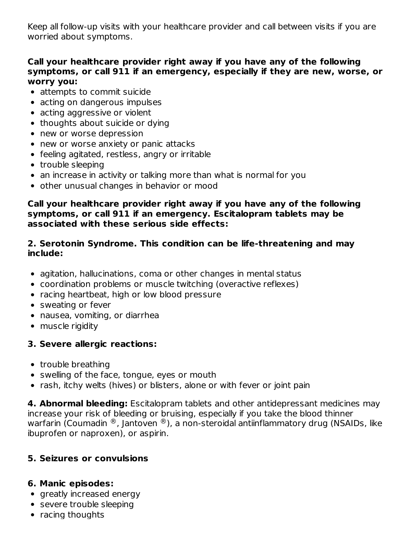Keep all follow-up visits with your healthcare provider and call between visits if you are worried about symptoms.

#### **Call your healthcare provider right away if you have any of the following symptoms, or call 911 if an emergency, especially if they are new, worse, or worry you:**

- attempts to commit suicide
- acting on dangerous impulses
- acting aggressive or violent
- thoughts about suicide or dying
- new or worse depression
- new or worse anxiety or panic attacks
- feeling agitated, restless, angry or irritable
- trouble sleeping
- an increase in activity or talking more than what is normal for you
- other unusual changes in behavior or mood

#### **Call your healthcare provider right away if you have any of the following symptoms, or call 911 if an emergency. Escitalopram tablets may be associated with these serious side effects:**

#### **2. Serotonin Syndrome. This condition can be life-threatening and may include:**

- agitation, hallucinations, coma or other changes in mental status
- coordination problems or muscle twitching (overactive reflexes)
- racing heartbeat, high or low blood pressure
- sweating or fever
- nausea, vomiting, or diarrhea
- muscle rigidity

# **3. Severe allergic reactions:**

- trouble breathing
- swelling of the face, tongue, eyes or mouth
- rash, itchy welts (hives) or blisters, alone or with fever or joint pain

**4. Abnormal bleeding:** Escitalopram tablets and other antidepressant medicines may increase your risk of bleeding or bruising, especially if you take the blood thinner warfarin (Coumadin  $^\circledR$ , Jantoven  $^\circledR$ ), a non-steroidal antiinflammatory drug (NSAIDs, like ibuprofen or naproxen), or aspirin.

# **5. Seizures or convulsions**

#### **6. Manic episodes:**

- greatly increased energy
- severe trouble sleeping
- racing thoughts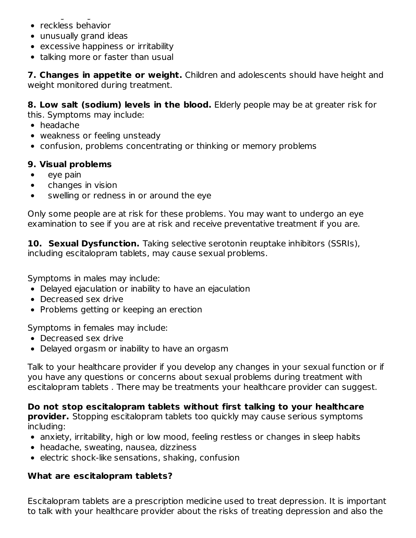- racing thoughts • reckless behavior
- unusually grand ideas
- excessive happiness or irritability
- talking more or faster than usual

**7. Changes in appetite or weight.** Children and adolescents should have height and weight monitored during treatment.

**8. Low salt (sodium) levels in the blood.** Elderly people may be at greater risk for this. Symptoms may include:

- headache
- weakness or feeling unsteady
- confusion, problems concentrating or thinking or memory problems

## **9. Visual problems**

- $\bullet$ eye pain
- changes in vision  $\bullet$
- swelling or redness in or around the eye

Only some people are at risk for these problems. You may want to undergo an eye examination to see if you are at risk and receive preventative treatment if you are.

**10. Sexual Dysfunction.** Taking selective serotonin reuptake inhibitors (SSRIs), including escitalopram tablets, may cause sexual problems.

Symptoms in males may include:

- Delayed ejaculation or inability to have an ejaculation
- Decreased sex drive
- Problems getting or keeping an erection

Symptoms in females may include:

- Decreased sex drive
- Delayed orgasm or inability to have an orgasm

Talk to your healthcare provider if you develop any changes in your sexual function or if you have any questions or concerns about sexual problems during treatment with escitalopram tablets . There may be treatments your healthcare provider can suggest.

## **Do not stop escitalopram tablets without first talking to your healthcare**

**provider.** Stopping escitalopram tablets too quickly may cause serious symptoms including:

- anxiety, irritability, high or low mood, feeling restless or changes in sleep habits
- headache, sweating, nausea, dizziness
- $\bullet$  electric shock-like sensations, shaking, confusion

## **What are escitalopram tablets?**

Escitalopram tablets are a prescription medicine used to treat depression. It is important to talk with your healthcare provider about the risks of treating depression and also the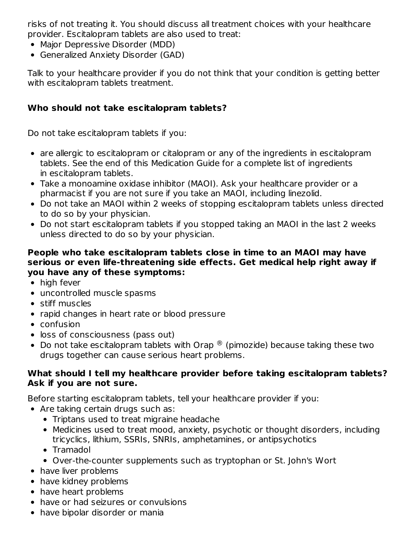risks of not treating it. You should discuss all treatment choices with your healthcare provider. Escitalopram tablets are also used to treat:

- Major Depressive Disorder (MDD)
- Generalized Anxiety Disorder (GAD)

Talk to your healthcare provider if you do not think that your condition is getting better with escitalopram tablets treatment.

## **Who should not take escitalopram tablets?**

Do not take escitalopram tablets if you:

- are allergic to escitalopram or citalopram or any of the ingredients in escitalopram tablets. See the end of this Medication Guide for a complete list of ingredients in escitalopram tablets.
- Take a monoamine oxidase inhibitor (MAOI). Ask your healthcare provider or a pharmacist if you are not sure if you take an MAOI, including linezolid.
- Do not take an MAOI within 2 weeks of stopping escitalopram tablets unless directed to do so by your physician.
- Do not start escitalopram tablets if you stopped taking an MAOI in the last 2 weeks unless directed to do so by your physician.

#### **People who take escitalopram tablets close in time to an MAOI may have serious or even life-threatening side effects. Get medical help right away if you have any of these symptoms:**

- high fever
- uncontrolled muscle spasms
- stiff muscles
- rapid changes in heart rate or blood pressure
- confusion
- loss of consciousness (pass out)
- Do not take escitalopram tablets with Orap  $^{\circledR}$  (pimozide) because taking these two drugs together can cause serious heart problems.

#### **What should I tell my healthcare provider before taking escitalopram tablets? Ask if you are not sure.**

Before starting escitalopram tablets, tell your healthcare provider if you:

- Are taking certain drugs such as:
	- Triptans used to treat migraine headache
	- Medicines used to treat mood, anxiety, psychotic or thought disorders, including tricyclics, lithium, SSRIs, SNRIs, amphetamines, or antipsychotics
	- Tramadol
	- Over-the-counter supplements such as tryptophan or St. John's Wort
- have liver problems
- have kidney problems
- have heart problems
- have or had seizures or convulsions
- have bipolar disorder or mania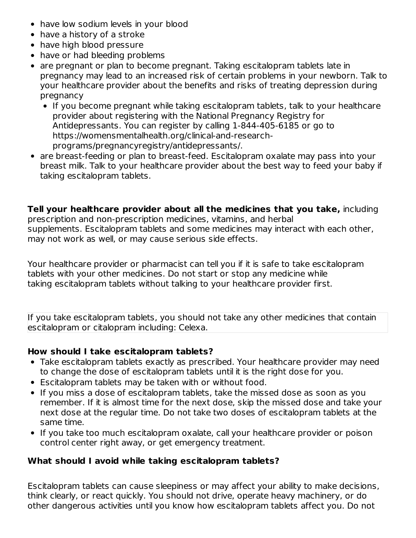- have low sodium levels in your blood
- have a history of a stroke
- have high blood pressure
- have or had bleeding problems
- are pregnant or plan to become pregnant. Taking escitalopram tablets late in pregnancy may lead to an increased risk of certain problems in your newborn. Talk to your healthcare provider about the benefits and risks of treating depression during pregnancy
	- If you become pregnant while taking escitalopram tablets, talk to your healthcare provider about registering with the National Pregnancy Registry for Antidepressants. You can register by calling 1-844-405-6185 or go to https://womensmentalhealth.org/clinical-and-researchprograms/pregnancyregistry/antidepressants/.
- are breast-feeding or plan to breast-feed. Escitalopram oxalate may pass into your breast milk. Talk to your healthcare provider about the best way to feed your baby if taking escitalopram tablets.

**Tell your healthcare provider about all the medicines that you take,** including prescription and non-prescription medicines, vitamins, and herbal supplements. Escitalopram tablets and some medicines may interact with each other, may not work as well, or may cause serious side effects.

Your healthcare provider or pharmacist can tell you if it is safe to take escitalopram tablets with your other medicines. Do not start or stop any medicine while taking escitalopram tablets without talking to your healthcare provider first.

If you take escitalopram tablets, you should not take any other medicines that contain escitalopram or citalopram including: Celexa.

## **How should I take escitalopram tablets?**

- Take escitalopram tablets exactly as prescribed. Your healthcare provider may need to change the dose of escitalopram tablets until it is the right dose for you.
- Escitalopram tablets may be taken with or without food.
- If you miss a dose of escitalopram tablets, take the missed dose as soon as you remember. If it is almost time for the next dose, skip the missed dose and take your next dose at the regular time. Do not take two doses of escitalopram tablets at the same time.
- If you take too much escitalopram oxalate, call your healthcare provider or poison control center right away, or get emergency treatment.

## **What should I avoid while taking escitalopram tablets?**

Escitalopram tablets can cause sleepiness or may affect your ability to make decisions, think clearly, or react quickly. You should not drive, operate heavy machinery, or do other dangerous activities until you know how escitalopram tablets affect you. Do not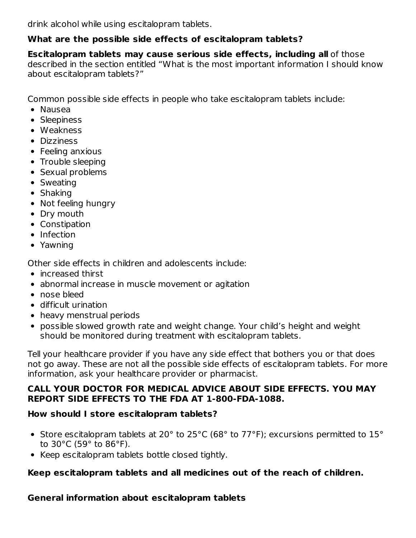drink alcohol while using escitalopram tablets.

## **What are the possible side effects of escitalopram tablets?**

**Escitalopram tablets may cause serious side effects, including all** of those described in the section entitled "What is the most important information I should know about escitalopram tablets?"

Common possible side effects in people who take escitalopram tablets include:

- Nausea
- Sleepiness
- Weakness
- Dizziness
- Feeling anxious
- Trouble sleeping
- Sexual problems
- Sweating
- Shaking
- Not feeling hungry
- Dry mouth
- Constipation
- Infection
- Yawning

Other side effects in children and adolescents include:

- increased thirst
- abnormal increase in muscle movement or agitation
- nose bleed
- difficult urination
- heavy menstrual periods
- possible slowed growth rate and weight change. Your child's height and weight should be monitored during treatment with escitalopram tablets.

Tell your healthcare provider if you have any side effect that bothers you or that does not go away. These are not all the possible side effects of escitalopram tablets. For more information, ask your healthcare provider or pharmacist.

## **CALL YOUR DOCTOR FOR MEDICAL ADVICE ABOUT SIDE EFFECTS. YOU MAY REPORT SIDE EFFECTS TO THE FDA AT 1-800-FDA-1088.**

# **How should I store escitalopram tablets?**

- Store escitalopram tablets at 20° to 25°C (68° to 77°F); excursions permitted to 15° to 30°C (59° to 86°F).
- Keep escitalopram tablets bottle closed tightly.

## **Keep escitalopram tablets and all medicines out of the reach of children.**

**General information about escitalopram tablets**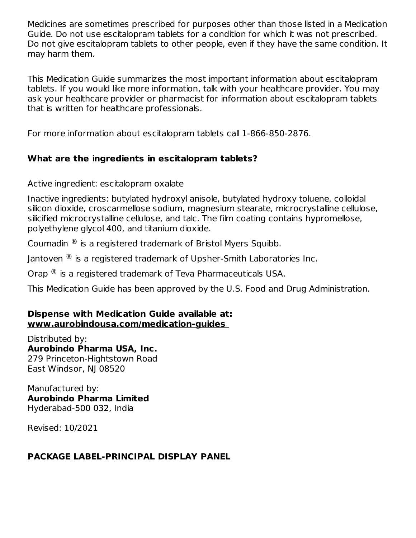Medicines are sometimes prescribed for purposes other than those listed in a Medication Guide. Do not use escitalopram tablets for a condition for which it was not prescribed. Do not give escitalopram tablets to other people, even if they have the same condition. It may harm them.

This Medication Guide summarizes the most important information about escitalopram tablets. If you would like more information, talk with your healthcare provider. You may ask your healthcare provider or pharmacist for information about escitalopram tablets that is written for healthcare professionals.

For more information about escitalopram tablets call 1-866-850-2876.

## **What are the ingredients in escitalopram tablets?**

Active ingredient: escitalopram oxalate

Inactive ingredients: butylated hydroxyl anisole, butylated hydroxy toluene, colloidal silicon dioxide, croscarmellose sodium, magnesium stearate, microcrystalline cellulose, silicified microcrystalline cellulose, and talc. The film coating contains hypromellose, polyethylene glycol 400, and titanium dioxide.

Coumadin  $\mathcal{R}$  is a registered trademark of Bristol Myers Squibb.

Jantoven  ${}^{\circledR}$  is a registered trademark of Upsher-Smith Laboratories Inc.

Orap  $^{\circledR}$  is a registered trademark of Teva Pharmaceuticals USA.

This Medication Guide has been approved by the U.S. Food and Drug Administration.

#### **Dispense with Medication Guide available at: www.aurobindousa.com/medication-guides**

Distributed by: **Aurobindo Pharma USA, Inc.** 279 Princeton-Hightstown Road East Windsor, NJ 08520

Manufactured by: **Aurobindo Pharma Limited** Hyderabad-500 032, India

Revised: 10/2021

# **PACKAGE LABEL-PRINCIPAL DISPLAY PANEL**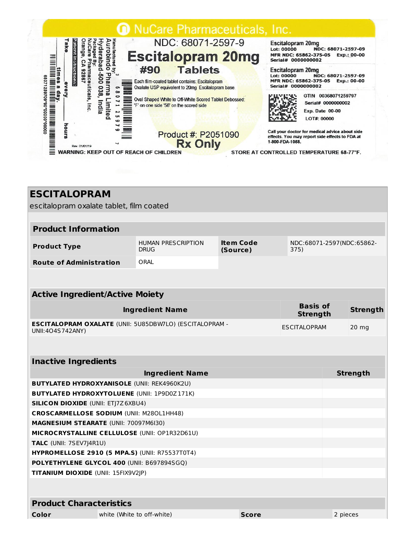

| <b>ESCITALOPRAM</b>                                                                |                                          |                              |              |                                    |          |                 |
|------------------------------------------------------------------------------------|------------------------------------------|------------------------------|--------------|------------------------------------|----------|-----------------|
| escitalopram oxalate tablet, film coated                                           |                                          |                              |              |                                    |          |                 |
|                                                                                    |                                          |                              |              |                                    |          |                 |
| <b>Product Information</b>                                                         |                                          |                              |              |                                    |          |                 |
| <b>Product Type</b>                                                                | <b>HUMAN PRESCRIPTION</b><br><b>DRUG</b> | <b>Item Code</b><br>(Source) |              | NDC:68071-2597(NDC:65862-<br>375)  |          |                 |
| <b>Route of Administration</b>                                                     | ORAL                                     |                              |              |                                    |          |                 |
|                                                                                    |                                          |                              |              |                                    |          |                 |
|                                                                                    |                                          |                              |              |                                    |          |                 |
| <b>Active Ingredient/Active Moiety</b>                                             |                                          |                              |              |                                    |          |                 |
|                                                                                    | <b>Ingredient Name</b>                   |                              |              | <b>Basis of</b><br><b>Strength</b> |          | <b>Strength</b> |
| <b>ESCITALOPRAM OXALATE (UNII: 5U85DBW7LO) (ESCITALOPRAM -</b><br>UNII:404S742ANY) |                                          |                              |              | <b>ESCITALOPRAM</b>                |          | 20 mg           |
|                                                                                    |                                          |                              |              |                                    |          |                 |
| <b>Inactive Ingredients</b>                                                        |                                          |                              |              |                                    |          |                 |
|                                                                                    | <b>Ingredient Name</b>                   |                              |              |                                    |          | <b>Strength</b> |
| <b>BUTYLATED HYDROXYANISOLE (UNII: REK4960K2U)</b>                                 |                                          |                              |              |                                    |          |                 |
| <b>BUTYLATED HYDROXYTOLUENE (UNII: 1P9D0Z171K)</b>                                 |                                          |                              |              |                                    |          |                 |
| <b>SILICON DIOXIDE (UNII: ETJ7Z6XBU4)</b>                                          |                                          |                              |              |                                    |          |                 |
| <b>CROSCARMELLOSE SODIUM (UNII: M280L1HH48)</b>                                    |                                          |                              |              |                                    |          |                 |
| MAGNESIUM STEARATE (UNII: 70097M6I30)                                              |                                          |                              |              |                                    |          |                 |
| MICROCRYSTALLINE CELLULOSE (UNII: OP1R32D61U)                                      |                                          |                              |              |                                    |          |                 |
| TALC (UNII: 7SEV7J4R1U)                                                            |                                          |                              |              |                                    |          |                 |
| <b>HYPROMELLOSE 2910 (5 MPA.S) (UNII: R75537T0T4)</b>                              |                                          |                              |              |                                    |          |                 |
| POLYETHYLENE GLYCOL 400 (UNII: B697894SGQ)                                         |                                          |                              |              |                                    |          |                 |
| TITANIUM DIOXIDE (UNII: 15FIX9V2JP)                                                |                                          |                              |              |                                    |          |                 |
|                                                                                    |                                          |                              |              |                                    |          |                 |
| <b>Product Characteristics</b>                                                     |                                          |                              |              |                                    |          |                 |
| Color                                                                              | white (White to off-white)               |                              | <b>Score</b> |                                    | 2 pieces |                 |